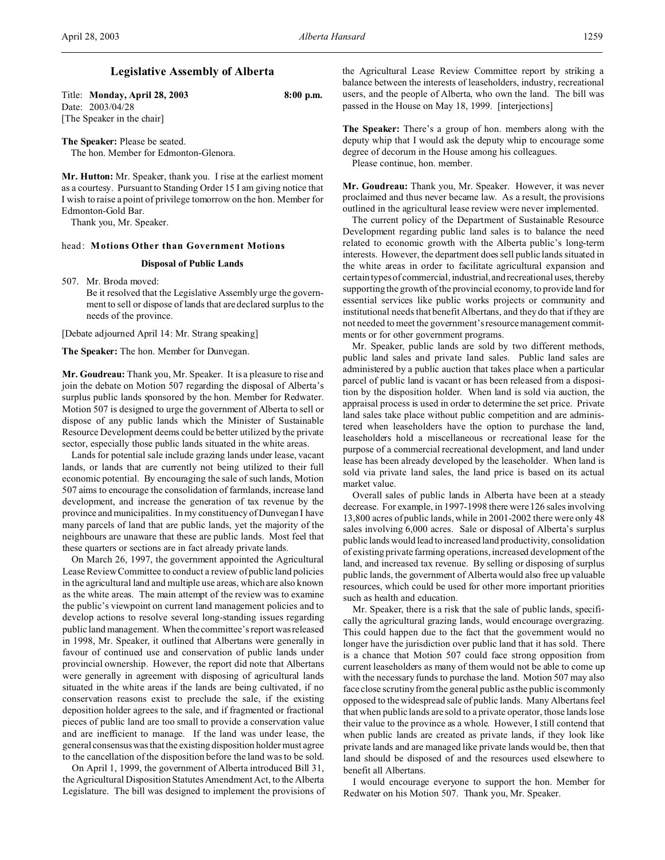# **Legislative Assembly of Alberta**

Title: **Monday, April 28, 2003 8:00 p.m.** Date: 2003/04/28 [The Speaker in the chair]

**The Speaker:** Please be seated. The hon. Member for Edmonton-Glenora.

**Mr. Hutton:** Mr. Speaker, thank you. I rise at the earliest moment as a courtesy. Pursuant to Standing Order 15 I am giving notice that I wish to raise a point of privilege tomorrow on the hon. Member for Edmonton-Gold Bar.

Thank you, Mr. Speaker.

## head: **Motions Other than Government Motions**

## **Disposal of Public Lands**

507. Mr. Broda moved:

Be it resolved that the Legislative Assembly urge the government to sell or dispose of lands that are declared surplus to the needs of the province.

[Debate adjourned April 14: Mr. Strang speaking]

**The Speaker:** The hon. Member for Dunvegan.

**Mr. Goudreau:** Thank you, Mr. Speaker. It is a pleasure to rise and join the debate on Motion 507 regarding the disposal of Alberta's surplus public lands sponsored by the hon. Member for Redwater. Motion 507 is designed to urge the government of Alberta to sell or dispose of any public lands which the Minister of Sustainable Resource Development deems could be better utilized by the private sector, especially those public lands situated in the white areas.

Lands for potential sale include grazing lands under lease, vacant lands, or lands that are currently not being utilized to their full economic potential. By encouraging the sale of such lands, Motion 507 aims to encourage the consolidation of farmlands, increase land development, and increase the generation of tax revenue by the province and municipalities. In my constituency of Dunvegan I have many parcels of land that are public lands, yet the majority of the neighbours are unaware that these are public lands. Most feel that these quarters or sections are in fact already private lands.

On March 26, 1997, the government appointed the Agricultural Lease Review Committee to conduct a review of public land policies in the agricultural land and multiple use areas, which are also known as the white areas. The main attempt of the review was to examine the public's viewpoint on current land management policies and to develop actions to resolve several long-standing issues regarding public land management. When the committee's report was released in 1998, Mr. Speaker, it outlined that Albertans were generally in favour of continued use and conservation of public lands under provincial ownership. However, the report did note that Albertans were generally in agreement with disposing of agricultural lands situated in the white areas if the lands are being cultivated, if no conservation reasons exist to preclude the sale, if the existing deposition holder agrees to the sale, and if fragmented or fractional pieces of public land are too small to provide a conservation value and are inefficient to manage. If the land was under lease, the general consensuswas that the existing disposition holder must agree to the cancellation of the disposition before the land was to be sold.

On April 1, 1999, the government of Alberta introduced Bill 31, the Agricultural Disposition Statutes Amendment Act, to the Alberta Legislature. The bill was designed to implement the provisions of the Agricultural Lease Review Committee report by striking a balance between the interests of leaseholders, industry, recreational users, and the people of Alberta, who own the land. The bill was passed in the House on May 18, 1999. [interjections]

**The Speaker:** There's a group of hon. members along with the deputy whip that I would ask the deputy whip to encourage some degree of decorum in the House among his colleagues.

Please continue, hon. member.

**Mr. Goudreau:** Thank you, Mr. Speaker. However, it was never proclaimed and thus never became law. As a result, the provisions outlined in the agricultural lease review were never implemented.

The current policy of the Department of Sustainable Resource Development regarding public land sales is to balance the need related to economic growth with the Alberta public's long-term interests. However, the department does sell public lands situated in the white areas in order to facilitate agricultural expansion and certain types of commercial, industrial,and recreational uses, thereby supporting the growth of the provincial economy, to provide land for essential services like public works projects or community and institutional needs that benefit Albertans, and they do that if they are not needed to meet the government's resource management commitments or for other government programs.

Mr. Speaker, public lands are sold by two different methods, public land sales and private land sales. Public land sales are administered by a public auction that takes place when a particular parcel of public land is vacant or has been released from a disposition by the disposition holder. When land is sold via auction, the appraisal process is used in order to determine the set price. Private land sales take place without public competition and are administered when leaseholders have the option to purchase the land, leaseholders hold a miscellaneous or recreational lease for the purpose of a commercial recreational development, and land under lease has been already developed by the leaseholder. When land is sold via private land sales, the land price is based on its actual market value.

Overall sales of public lands in Alberta have been at a steady decrease. For example, in 1997-1998 there were 126 sales involving 13,800 acres of public lands, while in 2001-2002 there were only 48 sales involving 6,000 acres. Sale or disposal of Alberta's surplus public lands would lead to increased land productivity, consolidation of existing private farming operations, increased development of the land, and increased tax revenue. By selling or disposing of surplus public lands, the government of Alberta would also free up valuable resources, which could be used for other more important priorities such as health and education.

Mr. Speaker, there is a risk that the sale of public lands, specifically the agricultural grazing lands, would encourage overgrazing. This could happen due to the fact that the government would no longer have the jurisdiction over public land that it has sold. There is a chance that Motion 507 could face strong opposition from current leaseholders as many of them would not be able to come up with the necessary funds to purchase the land. Motion 507 may also face close scrutiny from the general public as the public is commonly opposed to the widespread sale of public lands. Many Albertans feel that when public lands are sold to a private operator, those lands lose their value to the province as a whole. However, I still contend that when public lands are created as private lands, if they look like private lands and are managed like private lands would be, then that land should be disposed of and the resources used elsewhere to benefit all Albertans.

I would encourage everyone to support the hon. Member for Redwater on his Motion 507. Thank you, Mr. Speaker.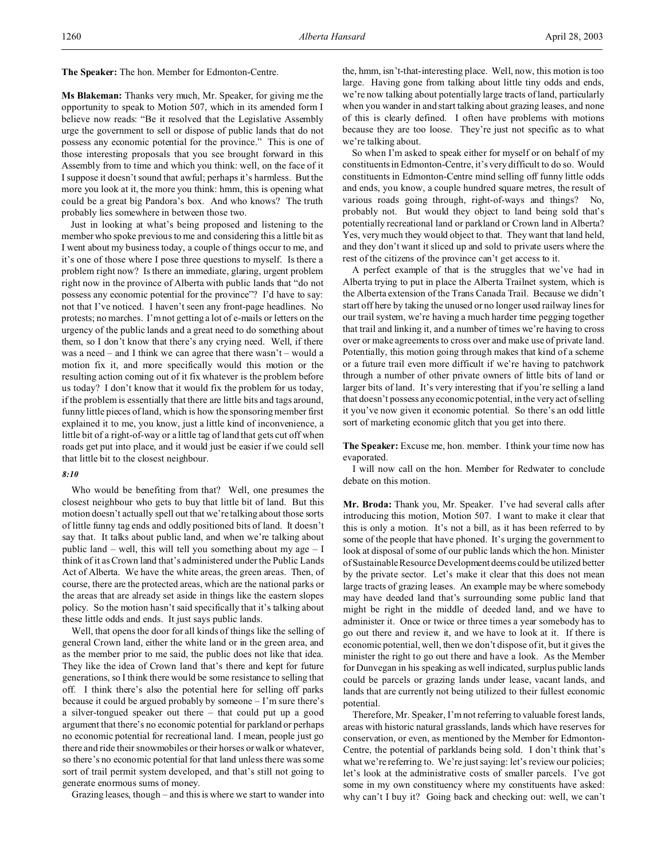**The Speaker:** The hon. Member for Edmonton-Centre.

**Ms Blakeman:** Thanks very much, Mr. Speaker, for giving me the opportunity to speak to Motion 507, which in its amended form I believe now reads: "Be it resolved that the Legislative Assembly urge the government to sell or dispose of public lands that do not possess any economic potential for the province." This is one of those interesting proposals that you see brought forward in this Assembly from to time and which you think: well, on the face of it I suppose it doesn't sound that awful; perhaps it's harmless. But the more you look at it, the more you think: hmm, this is opening what could be a great big Pandora's box. And who knows? The truth probably lies somewhere in between those two.

Just in looking at what's being proposed and listening to the member who spoke previous to me and considering this a little bit as I went about my business today, a couple of things occur to me, and it's one of those where I pose three questions to myself. Is there a problem right now? Is there an immediate, glaring, urgent problem right now in the province of Alberta with public lands that "do not possess any economic potential for the province"? I'd have to say: not that I've noticed. I haven't seen any front-page headlines. No protests; no marches. I'm not getting a lot of e-mails or letters on the urgency of the public lands and a great need to do something about them, so I don't know that there's any crying need. Well, if there was a need – and I think we can agree that there wasn't – would a motion fix it, and more specifically would this motion or the resulting action coming out of it fix whatever is the problem before us today? I don't know that it would fix the problem for us today, if the problem is essentially that there are little bits and tags around, funny little pieces of land, which is how the sponsoring member first explained it to me, you know, just a little kind of inconvenience, a little bit of a right-of-way or a little tag of land that gets cut off when roads get put into place, and it would just be easier if we could sell that little bit to the closest neighbour.

#### *8:10*

Who would be benefiting from that? Well, one presumes the closest neighbour who gets to buy that little bit of land. But this motion doesn't actually spell out that we're talking about those sorts of little funny tag ends and oddly positioned bits of land. It doesn't say that. It talks about public land, and when we're talking about public land – well, this will tell you something about my age  $- I$ think of it as Crown land that's administered under the Public Lands Act of Alberta. We have the white areas, the green areas. Then, of course, there are the protected areas, which are the national parks or the areas that are already set aside in things like the eastern slopes policy. So the motion hasn't said specifically that it's talking about these little odds and ends. It just says public lands.

Well, that opens the door for all kinds of things like the selling of general Crown land, either the white land or in the green area, and as the member prior to me said, the public does not like that idea. They like the idea of Crown land that's there and kept for future generations, so I think there would be some resistance to selling that off. I think there's also the potential here for selling off parks because it could be argued probably by someone – I'm sure there's a silver-tongued speaker out there – that could put up a good argument that there's no economic potential for parkland or perhaps no economic potential for recreational land. I mean, people just go there and ride their snowmobiles or their horses or walk or whatever, so there's no economic potential for that land unless there was some sort of trail permit system developed, and that's still not going to generate enormous sums of money.

Grazing leases, though – and this is where we start to wander into

the, hmm, isn't-that-interesting place. Well, now, this motion is too large. Having gone from talking about little tiny odds and ends, we're now talking about potentially large tracts of land, particularly when you wander in and start talking about grazing leases, and none of this is clearly defined. I often have problems with motions because they are too loose. They're just not specific as to what we're talking about.

So when I'm asked to speak either for myself or on behalf of my constituents in Edmonton-Centre, it's very difficult to do so. Would constituents in Edmonton-Centre mind selling off funny little odds and ends, you know, a couple hundred square metres, the result of various roads going through, right-of-ways and things? No, probably not. But would they object to land being sold that's potentially recreational land or parkland or Crown land in Alberta? Yes, very much they would object to that. They want that land held, and they don't want it sliced up and sold to private users where the rest of the citizens of the province can't get access to it.

A perfect example of that is the struggles that we've had in Alberta trying to put in place the Alberta Trailnet system, which is the Alberta extension of the Trans Canada Trail. Because we didn't start off here by taking the unused or no longer used railway lines for our trail system, we're having a much harder time pegging together that trail and linking it, and a number of times we're having to cross over or make agreements to cross over and make use of private land. Potentially, this motion going through makes that kind of a scheme or a future trail even more difficult if we're having to patchwork through a number of other private owners of little bits of land or larger bits of land. It's very interesting that if you're selling a land that doesn't possess any economic potential, in the very act of selling it you've now given it economic potential. So there's an odd little sort of marketing economic glitch that you get into there.

The Speaker: Excuse me, hon. member. I think your time now has evaporated.

I will now call on the hon. Member for Redwater to conclude debate on this motion.

**Mr. Broda:** Thank you, Mr. Speaker. I've had several calls after introducing this motion, Motion 507. I want to make it clear that this is only a motion. It's not a bill, as it has been referred to by some of the people that have phoned. It's urging the government to look at disposal of some of our public lands which the hon. Minister of Sustainable Resource Development deems could be utilized better by the private sector. Let's make it clear that this does not mean large tracts of grazing leases. An example may be where somebody may have deeded land that's surrounding some public land that might be right in the middle of deeded land, and we have to administer it. Once or twice or three times a year somebody has to go out there and review it, and we have to look at it. If there is economic potential, well, then we don't dispose of it, but it gives the minister the right to go out there and have a look. As the Member for Dunvegan in his speaking as well indicated, surplus public lands could be parcels or grazing lands under lease, vacant lands, and lands that are currently not being utilized to their fullest economic potential.

Therefore, Mr. Speaker, I'm not referring to valuable forest lands, areas with historic natural grasslands, lands which have reserves for conservation, or even, as mentioned by the Member for Edmonton-Centre, the potential of parklands being sold. I don't think that's what we're referring to. We're just saying: let's review our policies; let's look at the administrative costs of smaller parcels. I've got some in my own constituency where my constituents have asked: why can't I buy it? Going back and checking out: well, we can't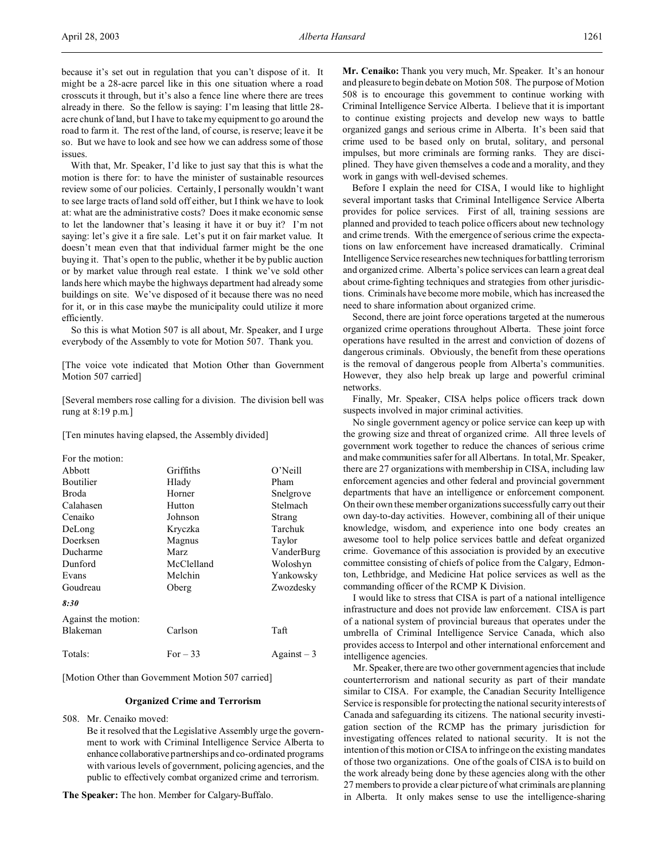because it's set out in regulation that you can't dispose of it. It might be a 28-acre parcel like in this one situation where a road crosscuts it through, but it's also a fence line where there are trees already in there. So the fellow is saying: I'm leasing that little 28 acre chunk of land, but I have to take my equipment to go around the road to farm it. The rest of the land, of course, is reserve; leave it be so. But we have to look and see how we can address some of those issues.

With that, Mr. Speaker, I'd like to just say that this is what the motion is there for: to have the minister of sustainable resources review some of our policies. Certainly, I personally wouldn't want to see large tracts of land sold off either, but I think we have to look at: what are the administrative costs? Does it make economic sense to let the landowner that's leasing it have it or buy it? I'm not saying: let's give it a fire sale. Let's put it on fair market value. It doesn't mean even that that individual farmer might be the one buying it. That's open to the public, whether it be by public auction or by market value through real estate. I think we've sold other lands here which maybe the highways department had already some buildings on site. We've disposed of it because there was no need for it, or in this case maybe the municipality could utilize it more efficiently.

So this is what Motion 507 is all about, Mr. Speaker, and I urge everybody of the Assembly to vote for Motion 507. Thank you.

[The voice vote indicated that Motion Other than Government Motion 507 carried]

[Several members rose calling for a division. The division bell was rung at 8:19 p.m.]

[Ten minutes having elapsed, the Assembly divided]

| For the motion:     |            |                                |
|---------------------|------------|--------------------------------|
| Abbott              | Griffiths  | O'Neill                        |
| <b>Boutilier</b>    | Hlady      | Pham                           |
| Broda               | Horner     | Snelgrove                      |
| Calahasen           | Hutton     | Stelmach                       |
| Cenaiko             | Johnson    | Strang                         |
| DeLong              | Kryczka    | Tarchuk                        |
| Doerksen            | Magnus     | Taylor                         |
| Ducharme            | Marz       | VanderBurg                     |
| Dunford             | McClelland | Woloshyn                       |
| Evans               | Melchin    | Yankowsky                      |
| Goudreau            | Oberg      | Zwozdesky                      |
| 8:30                |            |                                |
| Against the motion: |            |                                |
| Blakeman            | Carlson    | Taft                           |
| Totals:             | For $-33$  | $\text{Again} \mathbf{st} - 3$ |

[Motion Other than Government Motion 507 carried]

#### **Organized Crime and Terrorism**

508. Mr. Cenaiko moved:

Be it resolved that the Legislative Assembly urge the government to work with Criminal Intelligence Service Alberta to enhance collaborative partnerships and co-ordinated programs with various levels of government, policing agencies, and the public to effectively combat organized crime and terrorism.

**The Speaker:** The hon. Member for Calgary-Buffalo.

**Mr. Cenaiko:** Thank you very much, Mr. Speaker. It's an honour and pleasure to begin debate on Motion 508. The purpose of Motion 508 is to encourage this government to continue working with Criminal Intelligence Service Alberta. I believe that it is important to continue existing projects and develop new ways to battle organized gangs and serious crime in Alberta. It's been said that crime used to be based only on brutal, solitary, and personal impulses, but more criminals are forming ranks. They are disciplined. They have given themselves a code and a morality, and they work in gangs with well-devised schemes.

Before I explain the need for CISA, I would like to highlight several important tasks that Criminal Intelligence Service Alberta provides for police services. First of all, training sessions are planned and provided to teach police officers about new technology and crime trends. With the emergence of serious crime the expectations on law enforcement have increased dramatically. Criminal Intelligence Service researches new techniques for battling terrorism and organized crime. Alberta's police services can learn a great deal about crime-fighting techniques and strategies from other jurisdictions. Criminals have become more mobile, which has increased the need to share information about organized crime.

Second, there are joint force operations targeted at the numerous organized crime operations throughout Alberta. These joint force operations have resulted in the arrest and conviction of dozens of dangerous criminals. Obviously, the benefit from these operations is the removal of dangerous people from Alberta's communities. However, they also help break up large and powerful criminal networks.

Finally, Mr. Speaker, CISA helps police officers track down suspects involved in major criminal activities.

No single government agency or police service can keep up with the growing size and threat of organized crime. All three levels of government work together to reduce the chances of serious crime and make communities safer for all Albertans. In total, Mr. Speaker, there are 27 organizations with membership in CISA, including law enforcement agencies and other federal and provincial government departments that have an intelligence or enforcement component. On their own these member organizations successfully carry out their own day-to-day activities. However, combining all of their unique knowledge, wisdom, and experience into one body creates an awesome tool to help police services battle and defeat organized crime. Governance of this association is provided by an executive committee consisting of chiefs of police from the Calgary, Edmonton, Lethbridge, and Medicine Hat police services as well as the commanding officer of the RCMP K Division.

I would like to stress that CISA is part of a national intelligence infrastructure and does not provide law enforcement. CISA is part of a national system of provincial bureaus that operates under the umbrella of Criminal Intelligence Service Canada, which also provides access to Interpol and other international enforcement and intelligence agencies.

Mr. Speaker, there are two other government agencies that include counterterrorism and national security as part of their mandate similar to CISA. For example, the Canadian Security Intelligence Service is responsible for protecting the national security interests of Canada and safeguarding its citizens. The national security investigation section of the RCMP has the primary jurisdiction for investigating offences related to national security. It is not the intention of this motion or CISA to infringe on the existing mandates of those two organizations. One of the goals of CISA is to build on the work already being done by these agencies along with the other 27 members to provide a clear picture of what criminals are planning in Alberta. It only makes sense to use the intelligence-sharing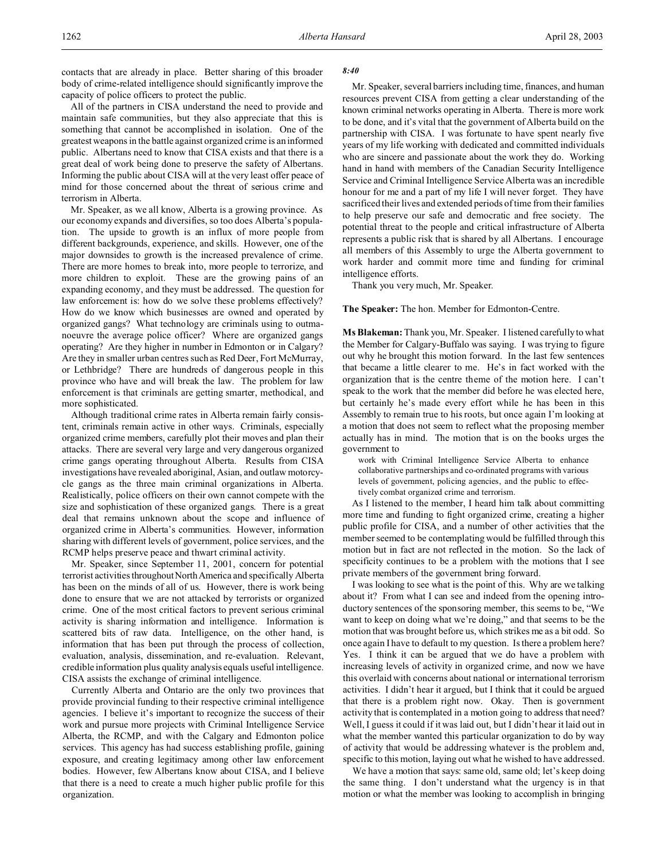All of the partners in CISA understand the need to provide and maintain safe communities, but they also appreciate that this is something that cannot be accomplished in isolation. One of the greatest weapons in the battle against organized crime is an informed public. Albertans need to know that CISA exists and that there is a great deal of work being done to preserve the safety of Albertans. Informing the public about CISA will at the very least offer peace of mind for those concerned about the threat of serious crime and terrorism in Alberta.

Mr. Speaker, as we all know, Alberta is a growing province. As our economy expands and diversifies, so too does Alberta's population. The upside to growth is an influx of more people from different backgrounds, experience, and skills. However, one of the major downsides to growth is the increased prevalence of crime. There are more homes to break into, more people to terrorize, and more children to exploit. These are the growing pains of an expanding economy, and they must be addressed. The question for law enforcement is: how do we solve these problems effectively? How do we know which businesses are owned and operated by organized gangs? What technology are criminals using to outmanoeuvre the average police officer? Where are organized gangs operating? Are they higher in number in Edmonton or in Calgary? Are they in smaller urban centres such as Red Deer, Fort McMurray, or Lethbridge? There are hundreds of dangerous people in this province who have and will break the law. The problem for law enforcement is that criminals are getting smarter, methodical, and more sophisticated.

Although traditional crime rates in Alberta remain fairly consistent, criminals remain active in other ways. Criminals, especially organized crime members, carefully plot their moves and plan their attacks. There are several very large and very dangerous organized crime gangs operating throughout Alberta. Results from CISA investigations have revealed aboriginal, Asian, and outlaw motorcycle gangs as the three main criminal organizations in Alberta. Realistically, police officers on their own cannot compete with the size and sophistication of these organized gangs. There is a great deal that remains unknown about the scope and influence of organized crime in Alberta's communities. However, information sharing with different levels of government, police services, and the RCMP helps preserve peace and thwart criminal activity.

Mr. Speaker, since September 11, 2001, concern for potential terrorist activities throughoutNorthAmerica and specifically Alberta has been on the minds of all of us. However, there is work being done to ensure that we are not attacked by terrorists or organized crime. One of the most critical factors to prevent serious criminal activity is sharing information and intelligence. Information is scattered bits of raw data. Intelligence, on the other hand, is information that has been put through the process of collection, evaluation, analysis, dissemination, and re-evaluation. Relevant, credible information plus quality analysis equals useful intelligence. CISA assists the exchange of criminal intelligence.

Currently Alberta and Ontario are the only two provinces that provide provincial funding to their respective criminal intelligence agencies. I believe it's important to recognize the success of their work and pursue more projects with Criminal Intelligence Service Alberta, the RCMP, and with the Calgary and Edmonton police services. This agency has had success establishing profile, gaining exposure, and creating legitimacy among other law enforcement bodies. However, few Albertans know about CISA, and I believe that there is a need to create a much higher public profile for this organization.

#### *8:40*

Mr. Speaker, several barriers including time, finances, and human resources prevent CISA from getting a clear understanding of the known criminal networks operating in Alberta. There is more work to be done, and it's vital that the government of Alberta build on the partnership with CISA. I was fortunate to have spent nearly five years of my life working with dedicated and committed individuals who are sincere and passionate about the work they do. Working hand in hand with members of the Canadian Security Intelligence Service and Criminal Intelligence Service Alberta was an incredible honour for me and a part of my life I will never forget. They have sacrificed their lives and extended periods of time from their families to help preserve our safe and democratic and free society. The potential threat to the people and critical infrastructure of Alberta represents a public risk that is shared by all Albertans. I encourage all members of this Assembly to urge the Alberta government to work harder and commit more time and funding for criminal intelligence efforts.

Thank you very much, Mr. Speaker.

**The Speaker:** The hon. Member for Edmonton-Centre.

**Ms Blakeman:** Thank you, Mr. Speaker. I listened carefully to what the Member for Calgary-Buffalo was saying. I was trying to figure out why he brought this motion forward. In the last few sentences that became a little clearer to me. He's in fact worked with the organization that is the centre theme of the motion here. I can't speak to the work that the member did before he was elected here, but certainly he's made every effort while he has been in this Assembly to remain true to his roots, but once again I'm looking at a motion that does not seem to reflect what the proposing member actually has in mind. The motion that is on the books urges the government to

work with Criminal Intelligence Service Alberta to enhance collaborative partnerships and co-ordinated programs with various levels of government, policing agencies, and the public to effectively combat organized crime and terrorism.

As I listened to the member, I heard him talk about committing more time and funding to fight organized crime, creating a higher public profile for CISA, and a number of other activities that the member seemed to be contemplating would be fulfilled through this motion but in fact are not reflected in the motion. So the lack of specificity continues to be a problem with the motions that I see private members of the government bring forward.

I was looking to see what is the point of this. Why are we talking about it? From what I can see and indeed from the opening introductory sentences of the sponsoring member, this seems to be, "We want to keep on doing what we're doing," and that seems to be the motion that was brought before us, which strikes me as a bit odd. So once again I have to default to my question. Is there a problem here? Yes. I think it can be argued that we do have a problem with increasing levels of activity in organized crime, and now we have this overlaid with concerns about national or international terrorism activities. I didn't hear it argued, but I think that it could be argued that there is a problem right now. Okay. Then is government activity that is contemplated in a motion going to address that need? Well, I guess it could if it was laid out, but I didn't hear it laid out in what the member wanted this particular organization to do by way of activity that would be addressing whatever is the problem and, specific to this motion, laying out what he wished to have addressed.

We have a motion that says: same old, same old; let's keep doing the same thing. I don't understand what the urgency is in that motion or what the member was looking to accomplish in bringing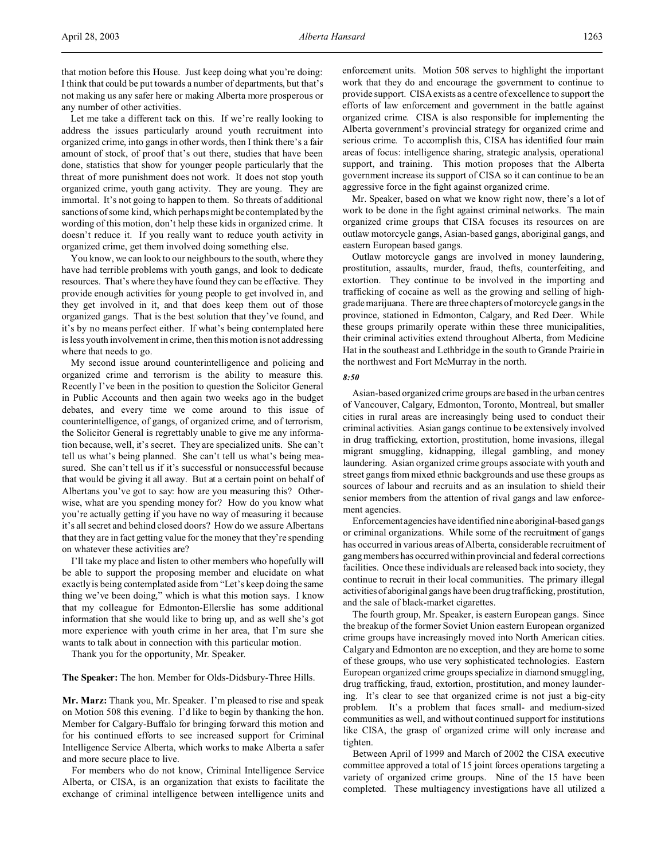that motion before this House. Just keep doing what you're doing: I think that could be put towards a number of departments, but that's not making us any safer here or making Alberta more prosperous or any number of other activities.

Let me take a different tack on this. If we're really looking to address the issues particularly around youth recruitment into organized crime, into gangs in other words, then I think there's a fair amount of stock, of proof that's out there, studies that have been done, statistics that show for younger people particularly that the threat of more punishment does not work. It does not stop youth organized crime, youth gang activity. They are young. They are immortal. It's not going to happen to them. So threats of additional sanctions of some kind, which perhaps might be contemplated by the wording of this motion, don't help these kids in organized crime. It doesn't reduce it. If you really want to reduce youth activity in organized crime, get them involved doing something else.

You know, we can look to our neighbours to the south, where they have had terrible problems with youth gangs, and look to dedicate resources. That's where they have found they can be effective. They provide enough activities for young people to get involved in, and they get involved in it, and that does keep them out of those organized gangs. That is the best solution that they've found, and it's by no means perfect either. If what's being contemplated here is less youth involvement in crime, then this motion is not addressing where that needs to go.

My second issue around counterintelligence and policing and organized crime and terrorism is the ability to measure this. Recently I've been in the position to question the Solicitor General in Public Accounts and then again two weeks ago in the budget debates, and every time we come around to this issue of counterintelligence, of gangs, of organized crime, and of terrorism, the Solicitor General is regrettably unable to give me any information because, well, it's secret. They are specialized units. She can't tell us what's being planned. She can't tell us what's being measured. She can't tell us if it's successful or nonsuccessful because that would be giving it all away. But at a certain point on behalf of Albertans you've got to say: how are you measuring this? Otherwise, what are you spending money for? How do you know what you're actually getting if you have no way of measuring it because it's all secret and behind closed doors? How do we assure Albertans that they are in fact getting value for the money that they're spending on whatever these activities are?

I'll take my place and listen to other members who hopefully will be able to support the proposing member and elucidate on what exactly is being contemplated aside from "Let's keep doing the same thing we've been doing," which is what this motion says. I know that my colleague for Edmonton-Ellerslie has some additional information that she would like to bring up, and as well she's got more experience with youth crime in her area, that I'm sure she wants to talk about in connection with this particular motion.

Thank you for the opportunity, Mr. Speaker.

**The Speaker:** The hon. Member for Olds-Didsbury-Three Hills.

**Mr. Marz:** Thank you, Mr. Speaker. I'm pleased to rise and speak on Motion 508 this evening. I'd like to begin by thanking the hon. Member for Calgary-Buffalo for bringing forward this motion and for his continued efforts to see increased support for Criminal Intelligence Service Alberta, which works to make Alberta a safer and more secure place to live.

For members who do not know, Criminal Intelligence Service Alberta, or CISA, is an organization that exists to facilitate the exchange of criminal intelligence between intelligence units and enforcement units. Motion 508 serves to highlight the important work that they do and encourage the government to continue to provide support. CISA exists as a centre of excellence to support the efforts of law enforcement and government in the battle against organized crime. CISA is also responsible for implementing the Alberta government's provincial strategy for organized crime and serious crime. To accomplish this, CISA has identified four main areas of focus: intelligence sharing, strategic analysis, operational support, and training. This motion proposes that the Alberta government increase its support of CISA so it can continue to be an aggressive force in the fight against organized crime.

Mr. Speaker, based on what we know right now, there's a lot of work to be done in the fight against criminal networks. The main organized crime groups that CISA focuses its resources on are outlaw motorcycle gangs, Asian-based gangs, aboriginal gangs, and eastern European based gangs.

Outlaw motorcycle gangs are involved in money laundering, prostitution, assaults, murder, fraud, thefts, counterfeiting, and extortion. They continue to be involved in the importing and trafficking of cocaine as well as the growing and selling of highgrade marijuana. There are three chapters of motorcycle gangs in the province, stationed in Edmonton, Calgary, and Red Deer. While these groups primarily operate within these three municipalities, their criminal activities extend throughout Alberta, from Medicine Hat in the southeast and Lethbridge in the south to Grande Prairie in the northwest and Fort McMurray in the north.

#### *8:50*

Asian-based organized crime groups are based in the urban centres of Vancouver, Calgary, Edmonton, Toronto, Montreal, but smaller cities in rural areas are increasingly being used to conduct their criminal activities. Asian gangs continue to be extensively involved in drug trafficking, extortion, prostitution, home invasions, illegal migrant smuggling, kidnapping, illegal gambling, and money laundering. Asian organized crime groups associate with youth and street gangs from mixed ethnic backgrounds and use these groups as sources of labour and recruits and as an insulation to shield their senior members from the attention of rival gangs and law enforcement agencies.

Enforcementagencies have identified nine aboriginal-based gangs or criminal organizations. While some of the recruitment of gangs has occurred in various areas of Alberta, considerable recruitment of gang members has occurred within provincial and federal corrections facilities. Once these individuals are released back into society, they continue to recruit in their local communities. The primary illegal activitiesof aboriginal gangs have been drug trafficking, prostitution, and the sale of black-market cigarettes.

The fourth group, Mr. Speaker, is eastern European gangs. Since the breakup of the former Soviet Union eastern European organized crime groups have increasingly moved into North American cities. Calgary and Edmonton are no exception, and they are home to some of these groups, who use very sophisticated technologies. Eastern European organized crime groups specialize in diamond smuggling, drug trafficking, fraud, extortion, prostitution, and money laundering. It's clear to see that organized crime is not just a big-city problem. It's a problem that faces small- and medium-sized communities as well, and without continued support for institutions like CISA, the grasp of organized crime will only increase and tighten.

Between April of 1999 and March of 2002 the CISA executive committee approved a total of 15 joint forces operations targeting a variety of organized crime groups. Nine of the 15 have been completed. These multiagency investigations have all utilized a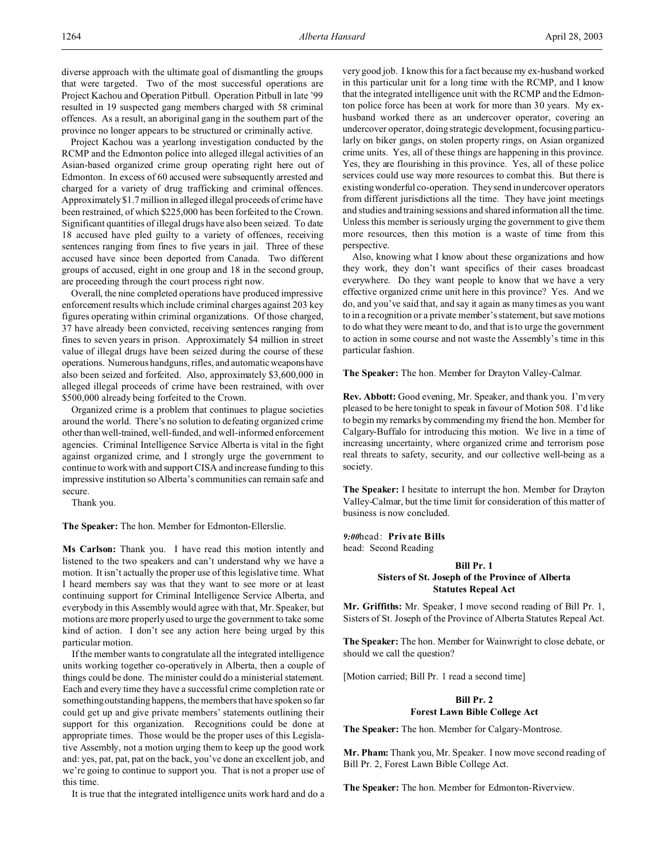diverse approach with the ultimate goal of dismantling the groups that were targeted. Two of the most successful operations are Project Kachou and Operation Pitbull. Operation Pitbull in late '99 resulted in 19 suspected gang members charged with 58 criminal offences. As a result, an aboriginal gang in the southern part of the province no longer appears to be structured or criminally active.

Project Kachou was a yearlong investigation conducted by the RCMP and the Edmonton police into alleged illegal activities of an Asian-based organized crime group operating right here out of Edmonton. In excess of 60 accused were subsequently arrested and charged for a variety of drug trafficking and criminal offences. Approximately \$1.7 million in alleged illegal proceeds of crime have been restrained, of which \$225,000 has been forfeited to the Crown. Significant quantities of illegal drugs have also been seized. To date 18 accused have pled guilty to a variety of offences, receiving sentences ranging from fines to five years in jail. Three of these accused have since been deported from Canada. Two different groups of accused, eight in one group and 18 in the second group, are proceeding through the court process right now.

Overall, the nine completed operations have produced impressive enforcement results which include criminal charges against 203 key figures operating within criminal organizations. Of those charged, 37 have already been convicted, receiving sentences ranging from fines to seven years in prison. Approximately \$4 million in street value of illegal drugs have been seized during the course of these operations. Numerous handguns, rifles, and automatic weaponshave also been seized and forfeited. Also, approximately \$3,600,000 in alleged illegal proceeds of crime have been restrained, with over \$500,000 already being forfeited to the Crown.

Organized crime is a problem that continues to plague societies around the world. There's no solution to defeating organized crime other than well-trained, well-funded, and well-informed enforcement agencies. Criminal Intelligence Service Alberta is vital in the fight against organized crime, and I strongly urge the government to continue to work with and support CISA and increase funding to this impressive institution so Alberta's communities can remain safe and secure.

Thank you.

**The Speaker:** The hon. Member for Edmonton-Ellerslie.

**Ms Carlson:** Thank you. I have read this motion intently and listened to the two speakers and can't understand why we have a motion. It isn't actually the proper use of this legislative time. What I heard members say was that they want to see more or at least continuing support for Criminal Intelligence Service Alberta, and everybody in this Assembly would agree with that, Mr. Speaker, but motions are more properly used to urge the government to take some kind of action. I don't see any action here being urged by this particular motion.

If the member wants to congratulate all the integrated intelligence units working together co-operatively in Alberta, then a couple of things could be done. The minister could do a ministerial statement. Each and every time they have a successful crime completion rate or somethingoutstanding happens, the members that have spoken so far could get up and give private members' statements outlining their support for this organization. Recognitions could be done at appropriate times. Those would be the proper uses of this Legislative Assembly, not a motion urging them to keep up the good work and: yes, pat, pat, pat on the back, you've done an excellent job, and we're going to continue to support you. That is not a proper use of this time.

It is true that the integrated intelligence units work hard and do a

very good job. I know this for a fact because my ex-husband worked in this particular unit for a long time with the RCMP, and I know that the integrated intelligence unit with the RCMP and the Edmonton police force has been at work for more than 30 years. My exhusband worked there as an undercover operator, covering an undercover operator, doing strategic development, focusing particularly on biker gangs, on stolen property rings, on Asian organized crime units. Yes, all of these things are happening in this province. Yes, they are flourishing in this province. Yes, all of these police services could use way more resources to combat this. But there is existing wonderful co-operation. They send in undercover operators from different jurisdictions all the time. They have joint meetings and studies and training sessions and shared information all the time. Unless this member is seriously urging the government to give them more resources, then this motion is a waste of time from this perspective.

Also, knowing what I know about these organizations and how they work, they don't want specifics of their cases broadcast everywhere. Do they want people to know that we have a very effective organized crime unit here in this province? Yes. And we do, and you've said that, and say it again as many times as you want to in a recognition or a private member's statement, but save motions to do what they were meant to do, and that is to urge the government to action in some course and not waste the Assembly's time in this particular fashion.

**The Speaker:** The hon. Member for Drayton Valley-Calmar.

**Rev. Abbott:** Good evening, Mr. Speaker, and thank you. I'm very pleased to be here tonight to speak in favour of Motion 508. I'd like to begin my remarks by commending my friend the hon. Member for Calgary-Buffalo for introducing this motion. We live in a time of increasing uncertainty, where organized crime and terrorism pose real threats to safety, security, and our collective well-being as a society.

**The Speaker:** I hesitate to interrupt the hon. Member for Drayton Valley-Calmar, but the time limit for consideration of this matter of business is now concluded.

*9:00*head: **Private Bills** head: Second Reading

## **Bill Pr. 1 Sisters of St. Joseph of the Province of Alberta Statutes Repeal Act**

**Mr. Griffiths:** Mr. Speaker, I move second reading of Bill Pr. 1, Sisters of St. Joseph of the Province of Alberta Statutes Repeal Act.

**The Speaker:** The hon. Member for Wainwright to close debate, or should we call the question?

[Motion carried; Bill Pr. 1 read a second time]

# **Bill Pr. 2 Forest Lawn Bible College Act**

**The Speaker:** The hon. Member for Calgary-Montrose.

**Mr. Pham:** Thank you, Mr. Speaker. I now move second reading of Bill Pr. 2, Forest Lawn Bible College Act.

**The Speaker:** The hon. Member for Edmonton-Riverview.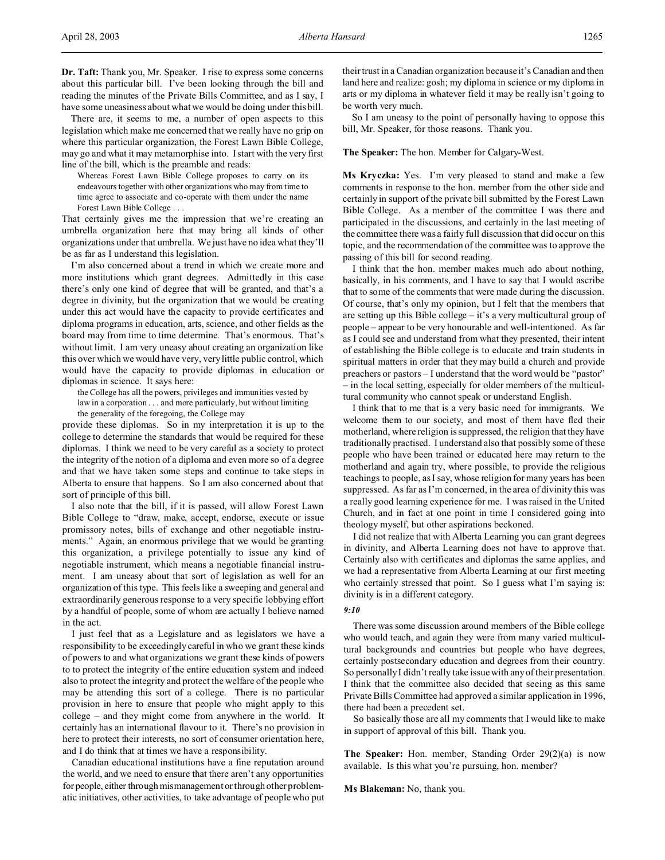There are, it seems to me, a number of open aspects to this legislation which make me concerned that we really have no grip on where this particular organization, the Forest Lawn Bible College, may go and what it may metamorphise into. I start with the very first line of the bill, which is the preamble and reads:

Whereas Forest Lawn Bible College proposes to carry on its endeavours together with other organizations who may from time to time agree to associate and co-operate with them under the name Forest Lawn Bible College . . .

That certainly gives me the impression that we're creating an umbrella organization here that may bring all kinds of other organizations under that umbrella. We just have no idea what they'll be as far as I understand this legislation.

I'm also concerned about a trend in which we create more and more institutions which grant degrees. Admittedly in this case there's only one kind of degree that will be granted, and that's a degree in divinity, but the organization that we would be creating under this act would have the capacity to provide certificates and diploma programs in education, arts, science, and other fields as the board may from time to time determine. That's enormous. That's without limit. I am very uneasy about creating an organization like this over which we would have very, very little public control, which would have the capacity to provide diplomas in education or diplomas in science. It says here:

the College has all the powers, privileges and immunities vested by law in a corporation . . . and more particularly, but without limiting the generality of the foregoing, the College may

provide these diplomas. So in my interpretation it is up to the college to determine the standards that would be required for these diplomas. I think we need to be very careful as a society to protect the integrity of the notion of a diploma and even more so of a degree and that we have taken some steps and continue to take steps in Alberta to ensure that happens. So I am also concerned about that sort of principle of this bill.

I also note that the bill, if it is passed, will allow Forest Lawn Bible College to "draw, make, accept, endorse, execute or issue promissory notes, bills of exchange and other negotiable instruments." Again, an enormous privilege that we would be granting this organization, a privilege potentially to issue any kind of negotiable instrument, which means a negotiable financial instrument. I am uneasy about that sort of legislation as well for an organization of this type. This feels like a sweeping and general and extraordinarily generous response to a very specific lobbying effort by a handful of people, some of whom are actually I believe named in the act.

I just feel that as a Legislature and as legislators we have a responsibility to be exceedingly careful in who we grant these kinds of powers to and what organizations we grant these kinds of powers to to protect the integrity of the entire education system and indeed also to protect the integrity and protect the welfare of the people who may be attending this sort of a college. There is no particular provision in here to ensure that people who might apply to this college – and they might come from anywhere in the world. It certainly has an international flavour to it. There's no provision in here to protect their interests, no sort of consumer orientation here, and I do think that at times we have a responsibility.

Canadian educational institutions have a fine reputation around the world, and we need to ensure that there aren't any opportunities for people, either through mismanagement or through other problematic initiatives, other activities, to take advantage of people who put

their trust in a Canadian organization because it's Canadian and then land here and realize: gosh; my diploma in science or my diploma in arts or my diploma in whatever field it may be really isn't going to be worth very much.

So I am uneasy to the point of personally having to oppose this bill, Mr. Speaker, for those reasons. Thank you.

**The Speaker:** The hon. Member for Calgary-West.

**Ms Kryczka:** Yes. I'm very pleased to stand and make a few comments in response to the hon. member from the other side and certainly in support of the private bill submitted by the Forest Lawn Bible College. As a member of the committee I was there and participated in the discussions, and certainly in the last meeting of the committee there was a fairly full discussion that did occur on this topic, and the recommendation of the committee was to approve the passing of this bill for second reading.

I think that the hon. member makes much ado about nothing, basically, in his comments, and I have to say that I would ascribe that to some of the comments that were made during the discussion. Of course, that's only my opinion, but I felt that the members that are setting up this Bible college – it's a very multicultural group of people – appear to be very honourable and well-intentioned. As far as I could see and understand from what they presented, their intent of establishing the Bible college is to educate and train students in spiritual matters in order that they may build a church and provide preachers or pastors – I understand that the word would be "pastor" – in the local setting, especially for older members of the multicultural community who cannot speak or understand English.

I think that to me that is a very basic need for immigrants. We welcome them to our society, and most of them have fled their motherland, where religion is suppressed, the religion that they have traditionally practised. I understand also that possibly some of these people who have been trained or educated here may return to the motherland and again try, where possible, to provide the religious teachings to people, as I say, whose religion for many years has been suppressed. As far as I'm concerned, in the area of divinity this was a really good learning experience for me. I was raised in the United Church, and in fact at one point in time I considered going into theology myself, but other aspirations beckoned.

I did not realize that with Alberta Learning you can grant degrees in divinity, and Alberta Learning does not have to approve that. Certainly also with certificates and diplomas the same applies, and we had a representative from Alberta Learning at our first meeting who certainly stressed that point. So I guess what I'm saying is: divinity is in a different category.

## *9:10*

There was some discussion around members of the Bible college who would teach, and again they were from many varied multicultural backgrounds and countries but people who have degrees, certainly postsecondary education and degrees from their country. So personally I didn't really take issue with any of their presentation. I think that the committee also decided that seeing as this same Private Bills Committee had approved a similar application in 1996, there had been a precedent set.

So basically those are all my comments that I would like to make in support of approval of this bill. Thank you.

**The Speaker:** Hon. member, Standing Order 29(2)(a) is now available. Is this what you're pursuing, hon. member?

**Ms Blakeman:** No, thank you.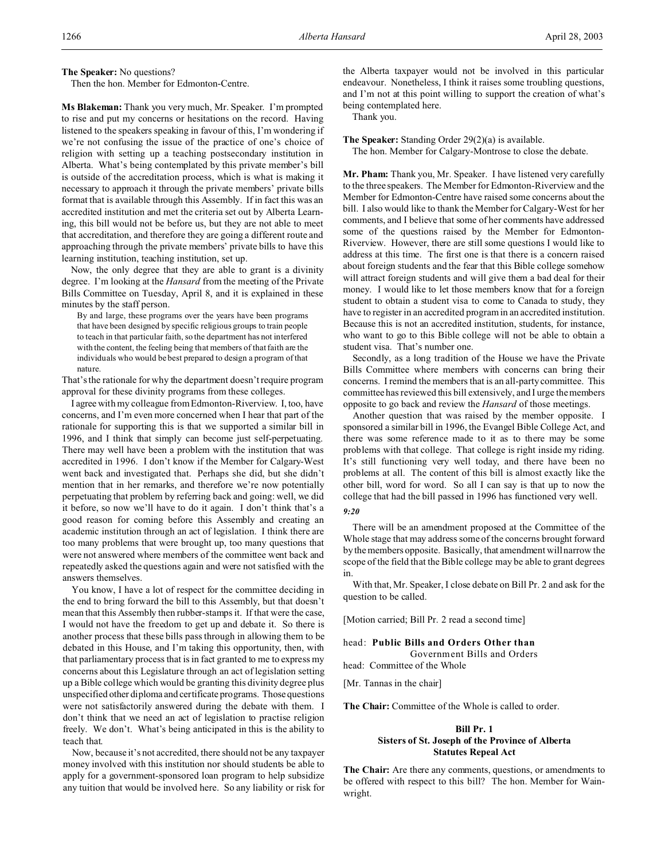**The Speaker:** No questions?

Then the hon. Member for Edmonton-Centre.

**Ms Blakeman:** Thank you very much, Mr. Speaker. I'm prompted to rise and put my concerns or hesitations on the record. Having listened to the speakers speaking in favour of this, I'm wondering if we're not confusing the issue of the practice of one's choice of religion with setting up a teaching postsecondary institution in Alberta. What's being contemplated by this private member's bill is outside of the accreditation process, which is what is making it necessary to approach it through the private members' private bills format that is available through this Assembly. If in fact this was an accredited institution and met the criteria set out by Alberta Learning, this bill would not be before us, but they are not able to meet that accreditation, and therefore they are going a different route and approaching through the private members' private bills to have this learning institution, teaching institution, set up.

Now, the only degree that they are able to grant is a divinity degree. I'm looking at the *Hansard* from the meeting of the Private Bills Committee on Tuesday, April 8, and it is explained in these minutes by the staff person.

By and large, these programs over the years have been programs that have been designed by specific religious groups to train people to teach in that particular faith, so the department has not interfered with the content, the feeling being that members of that faith are the individuals who would be best prepared to design a program of that nature.

That's the rationale for why the department doesn't require program approval for these divinity programs from these colleges.

I agree with my colleague from Edmonton-Riverview. I, too, have concerns, and I'm even more concerned when I hear that part of the rationale for supporting this is that we supported a similar bill in 1996, and I think that simply can become just self-perpetuating. There may well have been a problem with the institution that was accredited in 1996. I don't know if the Member for Calgary-West went back and investigated that. Perhaps she did, but she didn't mention that in her remarks, and therefore we're now potentially perpetuating that problem by referring back and going: well, we did it before, so now we'll have to do it again. I don't think that's a good reason for coming before this Assembly and creating an academic institution through an act of legislation. I think there are too many problems that were brought up, too many questions that were not answered where members of the committee went back and repeatedly asked the questions again and were not satisfied with the answers themselves.

You know, I have a lot of respect for the committee deciding in the end to bring forward the bill to this Assembly, but that doesn't mean that this Assembly then rubber-stamps it. If that were the case, I would not have the freedom to get up and debate it. So there is another process that these bills pass through in allowing them to be debated in this House, and I'm taking this opportunity, then, with that parliamentary process that is in fact granted to me to express my concerns about this Legislature through an act of legislation setting up a Bible college which would be granting this divinity degree plus unspecified other diploma and certificate programs. Those questions were not satisfactorily answered during the debate with them. I don't think that we need an act of legislation to practise religion freely. We don't. What's being anticipated in this is the ability to teach that.

Now, because it's not accredited, there should not be any taxpayer money involved with this institution nor should students be able to apply for a government-sponsored loan program to help subsidize any tuition that would be involved here. So any liability or risk for

the Alberta taxpayer would not be involved in this particular endeavour. Nonetheless, I think it raises some troubling questions, and I'm not at this point willing to support the creation of what's being contemplated here.

Thank you.

**The Speaker:** Standing Order 29(2)(a) is available. The hon. Member for Calgary-Montrose to close the debate.

**Mr. Pham:** Thank you, Mr. Speaker. I have listened very carefully to the three speakers. The Member for Edmonton-Riverview and the Member for Edmonton-Centre have raised some concerns about the bill. I also would like to thank the Member for Calgary-West for her comments, and I believe that some of her comments have addressed some of the questions raised by the Member for Edmonton-Riverview. However, there are still some questions I would like to address at this time. The first one is that there is a concern raised about foreign students and the fear that this Bible college somehow will attract foreign students and will give them a bad deal for their money. I would like to let those members know that for a foreign student to obtain a student visa to come to Canada to study, they have to register in an accredited program in an accredited institution. Because this is not an accredited institution, students, for instance, who want to go to this Bible college will not be able to obtain a student visa. That's number one.

Secondly, as a long tradition of the House we have the Private Bills Committee where members with concerns can bring their concerns. I remind the members that is an all-party committee. This committee has reviewed this bill extensively, and I urge the members opposite to go back and review the *Hansard* of those meetings.

Another question that was raised by the member opposite. I sponsored a similar bill in 1996, the Evangel Bible College Act, and there was some reference made to it as to there may be some problems with that college. That college is right inside my riding. It's still functioning very well today, and there have been no problems at all. The content of this bill is almost exactly like the other bill, word for word. So all I can say is that up to now the college that had the bill passed in 1996 has functioned very well.

#### *9:20*

There will be an amendment proposed at the Committee of the Whole stage that may address some of the concerns brought forward by the members opposite. Basically, that amendment will narrow the scope of the field that the Bible college may be able to grant degrees in.

With that, Mr. Speaker, I close debate on Bill Pr. 2 and ask for the question to be called.

[Motion carried; Bill Pr. 2 read a second time]

### head: **Public Bills and Orders Other than**

Government Bills and Orders head: Committee of the Whole

[Mr. Tannas in the chair]

**The Chair:** Committee of the Whole is called to order.

# **Bill Pr. 1 Sisters of St. Joseph of the Province of Alberta Statutes Repeal Act**

**The Chair:** Are there any comments, questions, or amendments to be offered with respect to this bill? The hon. Member for Wainwright.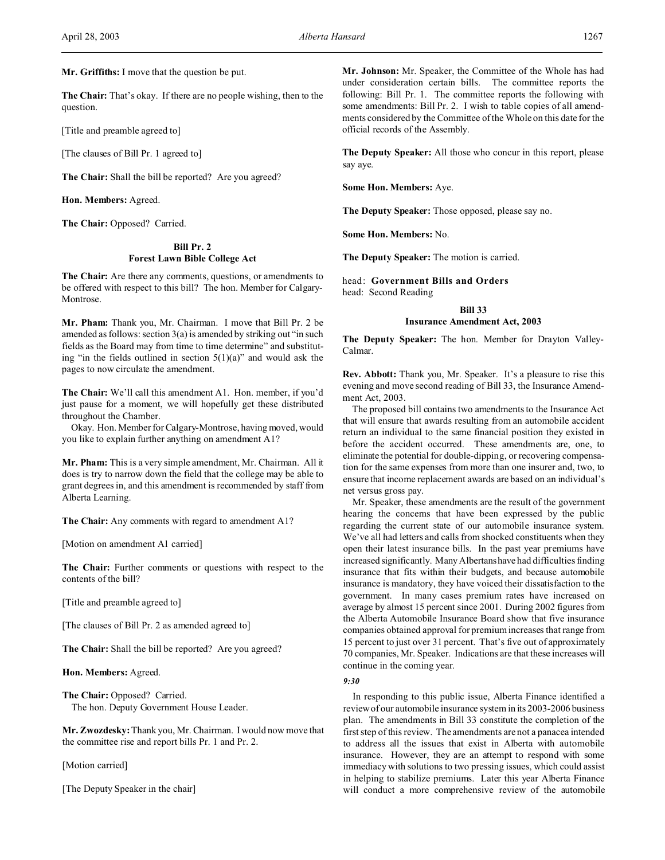**Mr. Griffiths:** I move that the question be put.

**The Chair:** That's okay. If there are no people wishing, then to the question.

[Title and preamble agreed to]

[The clauses of Bill Pr. 1 agreed to]

**The Chair:** Shall the bill be reported? Are you agreed?

**Hon. Members:** Agreed.

**The Chair:** Opposed? Carried.

## **Bill Pr. 2 Forest Lawn Bible College Act**

**The Chair:** Are there any comments, questions, or amendments to be offered with respect to this bill? The hon. Member for Calgary-Montrose.

**Mr. Pham:** Thank you, Mr. Chairman. I move that Bill Pr. 2 be amended as follows: section 3(a) is amended by striking out "in such fields as the Board may from time to time determine" and substituting "in the fields outlined in section  $5(1)(a)$ " and would ask the pages to now circulate the amendment.

**The Chair:** We'll call this amendment A1. Hon. member, if you'd just pause for a moment, we will hopefully get these distributed throughout the Chamber.

Okay. Hon. Member for Calgary-Montrose, having moved, would you like to explain further anything on amendment A1?

**Mr. Pham:** This is a very simple amendment, Mr. Chairman. All it does is try to narrow down the field that the college may be able to grant degrees in, and this amendment is recommended by staff from Alberta Learning.

**The Chair:** Any comments with regard to amendment A1?

[Motion on amendment A1 carried]

**The Chair:** Further comments or questions with respect to the contents of the bill?

[Title and preamble agreed to]

[The clauses of Bill Pr. 2 as amended agreed to]

**The Chair:** Shall the bill be reported? Are you agreed?

**Hon. Members:** Agreed.

**The Chair:** Opposed? Carried. The hon. Deputy Government House Leader.

**Mr. Zwozdesky:** Thank you, Mr. Chairman. I would now move that the committee rise and report bills Pr. 1 and Pr. 2.

[Motion carried]

[The Deputy Speaker in the chair]

**Mr. Johnson:** Mr. Speaker, the Committee of the Whole has had under consideration certain bills. The committee reports the following: Bill Pr. 1. The committee reports the following with some amendments: Bill Pr. 2. I wish to table copies of all amendments considered by the Committee of the Whole on this date for the official records of the Assembly.

**The Deputy Speaker:** All those who concur in this report, please say aye.

**Some Hon. Members:** Aye.

**The Deputy Speaker:** Those opposed, please say no.

**Some Hon. Members:** No.

**The Deputy Speaker:** The motion is carried.

head: **Government Bills and Orders** head: Second Reading

# **Bill 33 Insurance Amendment Act, 2003**

**The Deputy Speaker:** The hon. Member for Drayton Valley-Calmar.

**Rev. Abbott:** Thank you, Mr. Speaker. It's a pleasure to rise this evening and move second reading of Bill 33, the Insurance Amendment Act, 2003.

The proposed bill contains two amendments to the Insurance Act that will ensure that awards resulting from an automobile accident return an individual to the same financial position they existed in before the accident occurred. These amendments are, one, to eliminate the potential for double-dipping, or recovering compensation for the same expenses from more than one insurer and, two, to ensure that income replacement awards are based on an individual's net versus gross pay.

Mr. Speaker, these amendments are the result of the government hearing the concerns that have been expressed by the public regarding the current state of our automobile insurance system. We've all had letters and calls from shocked constituents when they open their latest insurance bills. In the past year premiums have increased significantly. Many Albertanshave had difficulties finding insurance that fits within their budgets, and because automobile insurance is mandatory, they have voiced their dissatisfaction to the government. In many cases premium rates have increased on average by almost 15 percent since 2001. During 2002 figures from the Alberta Automobile Insurance Board show that five insurance companies obtained approval for premium increases that range from 15 percent to just over 31 percent. That's five out of approximately 70 companies, Mr. Speaker. Indications are that these increases will continue in the coming year.

*9:30*

In responding to this public issue, Alberta Finance identified a review of our automobile insurance system in its 2003-2006 business plan. The amendments in Bill 33 constitute the completion of the first step of this review. The amendments are not a panacea intended to address all the issues that exist in Alberta with automobile insurance. However, they are an attempt to respond with some immediacy with solutions to two pressing issues, which could assist in helping to stabilize premiums. Later this year Alberta Finance will conduct a more comprehensive review of the automobile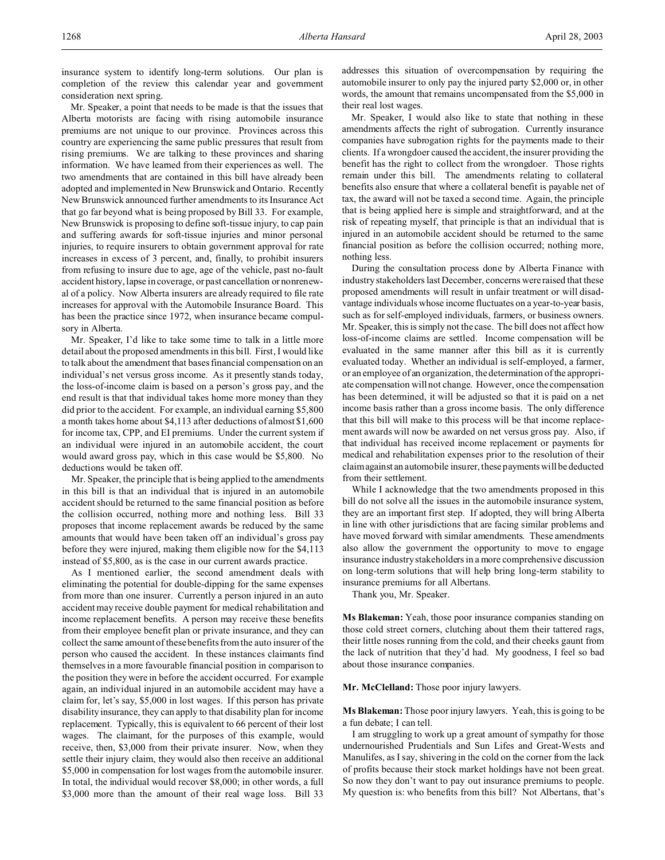insurance system to identify long-term solutions. Our plan is completion of the review this calendar year and government consideration next spring.

Mr. Speaker, a point that needs to be made is that the issues that Alberta motorists are facing with rising automobile insurance premiums are not unique to our province. Provinces across this country are experiencing the same public pressures that result from rising premiums. We are talking to these provinces and sharing information. We have learned from their experiences as well. The two amendments that are contained in this bill have already been adopted and implemented in New Brunswick and Ontario. Recently New Brunswick announced further amendments to its Insurance Act that go far beyond what is being proposed by Bill 33. For example, New Brunswick is proposing to define soft-tissue injury, to cap pain and suffering awards for soft-tissue injuries and minor personal injuries, to require insurers to obtain government approval for rate increases in excess of 3 percent, and, finally, to prohibit insurers from refusing to insure due to age, age of the vehicle, past no-fault accident history, lapse in coverage, or past cancellation or nonrenewal of a policy. Now Alberta insurers are already required to file rate increases for approval with the Automobile Insurance Board. This has been the practice since 1972, when insurance became compulsory in Alberta.

Mr. Speaker, I'd like to take some time to talk in a little more detail about the proposed amendments in this bill. First, I would like to talk about the amendment that bases financial compensation on an individual's net versus gross income. As it presently stands today, the loss-of-income claim is based on a person's gross pay, and the end result is that that individual takes home more money than they did prior to the accident. For example, an individual earning \$5,800 a month takes home about \$4,113 after deductions of almost \$1,600 for income tax, CPP, and EI premiums. Under the current system if an individual were injured in an automobile accident, the court would award gross pay, which in this case would be \$5,800. No deductions would be taken off.

Mr. Speaker, the principle that is being applied to the amendments in this bill is that an individual that is injured in an automobile accident should be returned to the same financial position as before the collision occurred, nothing more and nothing less. Bill 33 proposes that income replacement awards be reduced by the same amounts that would have been taken off an individual's gross pay before they were injured, making them eligible now for the \$4,113 instead of \$5,800, as is the case in our current awards practice.

As I mentioned earlier, the second amendment deals with eliminating the potential for double-dipping for the same expenses from more than one insurer. Currently a person injured in an auto accident may receive double payment for medical rehabilitation and income replacement benefits. A person may receive these benefits from their employee benefit plan or private insurance, and they can collect the same amount of these benefits from the auto insurer of the person who caused the accident. In these instances claimants find themselves in a more favourable financial position in comparison to the position they were in before the accident occurred. For example again, an individual injured in an automobile accident may have a claim for, let's say, \$5,000 in lost wages. If this person has private disability insurance, they can apply to that disability plan for income replacement. Typically, this is equivalent to 66 percent of their lost wages. The claimant, for the purposes of this example, would receive, then, \$3,000 from their private insurer. Now, when they settle their injury claim, they would also then receive an additional \$5,000 in compensation for lost wages from the automobile insurer. In total, the individual would recover \$8,000; in other words, a full \$3,000 more than the amount of their real wage loss. Bill 33

addresses this situation of overcompensation by requiring the automobile insurer to only pay the injured party \$2,000 or, in other words, the amount that remains uncompensated from the \$5,000 in their real lost wages.

Mr. Speaker, I would also like to state that nothing in these amendments affects the right of subrogation. Currently insurance companies have subrogation rights for the payments made to their clients. If a wrongdoer caused the accident, the insurer providing the benefit has the right to collect from the wrongdoer. Those rights remain under this bill. The amendments relating to collateral benefits also ensure that where a collateral benefit is payable net of tax, the award will not be taxed a second time. Again, the principle that is being applied here is simple and straightforward, and at the risk of repeating myself, that principle is that an individual that is injured in an automobile accident should be returned to the same financial position as before the collision occurred; nothing more, nothing less.

During the consultation process done by Alberta Finance with industry stakeholders last December, concerns were raised that these proposed amendments will result in unfair treatment or will disadvantage individuals whose income fluctuates on a year-to-year basis, such as for self-employed individuals, farmers, or business owners. Mr. Speaker, this is simply not the case. The bill does not affect how loss-of-income claims are settled. Income compensation will be evaluated in the same manner after this bill as it is currently evaluated today. Whether an individual is self-employed, a farmer, or an employee of an organization, the determination of the appropriate compensation will not change. However, once the compensation has been determined, it will be adjusted so that it is paid on a net income basis rather than a gross income basis. The only difference that this bill will make to this process will be that income replacement awards will now be awarded on net versus gross pay. Also, if that individual has received income replacement or payments for medical and rehabilitation expenses prior to the resolution of their claim against an automobile insurer, these payments will be deducted from their settlement.

While I acknowledge that the two amendments proposed in this bill do not solve all the issues in the automobile insurance system, they are an important first step. If adopted, they will bring Alberta in line with other jurisdictions that are facing similar problems and have moved forward with similar amendments. These amendments also allow the government the opportunity to move to engage insurance industry stakeholders in a more comprehensive discussion on long-term solutions that will help bring long-term stability to insurance premiums for all Albertans.

Thank you, Mr. Speaker.

**Ms Blakeman:** Yeah, those poor insurance companies standing on those cold street corners, clutching about them their tattered rags, their little noses running from the cold, and their cheeks gaunt from the lack of nutrition that they'd had. My goodness, I feel so bad about those insurance companies.

**Mr. McClelland:** Those poor injury lawyers.

**Ms Blakeman:** Those poor injury lawyers. Yeah, this is going to be a fun debate; I can tell.

I am struggling to work up a great amount of sympathy for those undernourished Prudentials and Sun Lifes and Great-Wests and Manulifes, as I say, shivering in the cold on the corner from the lack of profits because their stock market holdings have not been great. So now they don't want to pay out insurance premiums to people. My question is: who benefits from this bill? Not Albertans, that's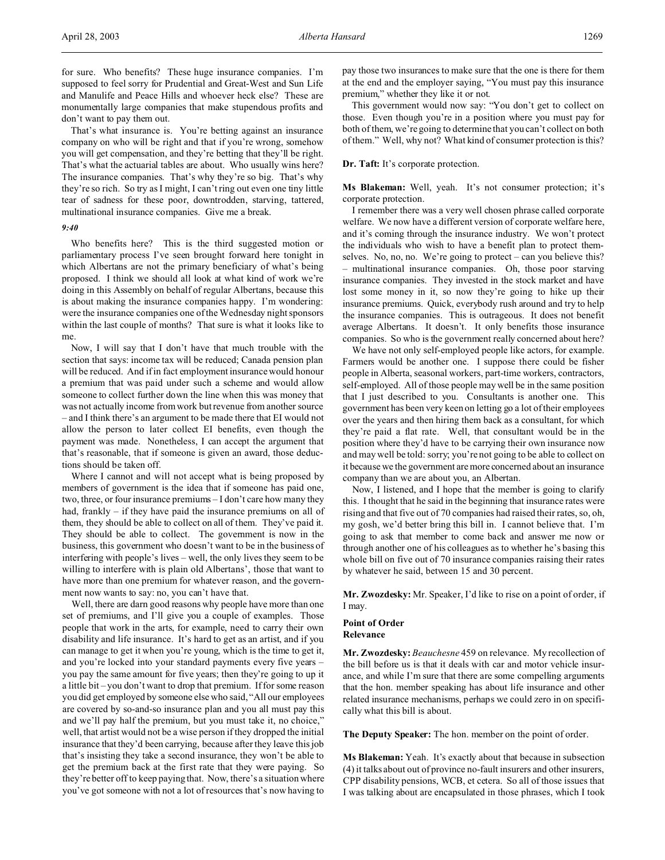for sure. Who benefits? These huge insurance companies. I'm supposed to feel sorry for Prudential and Great-West and Sun Life and Manulife and Peace Hills and whoever heck else? These are monumentally large companies that make stupendous profits and don't want to pay them out.

That's what insurance is. You're betting against an insurance company on who will be right and that if you're wrong, somehow you will get compensation, and they're betting that they'll be right. That's what the actuarial tables are about. Who usually wins here? The insurance companies. That's why they're so big. That's why they're so rich. So try as I might, I can't ring out even one tiny little tear of sadness for these poor, downtrodden, starving, tattered, multinational insurance companies. Give me a break.

#### *9:40*

Who benefits here? This is the third suggested motion or parliamentary process I've seen brought forward here tonight in which Albertans are not the primary beneficiary of what's being proposed. I think we should all look at what kind of work we're doing in this Assembly on behalf of regular Albertans, because this is about making the insurance companies happy. I'm wondering: were the insurance companies one of the Wednesday night sponsors within the last couple of months? That sure is what it looks like to me.

Now, I will say that I don't have that much trouble with the section that says: income tax will be reduced; Canada pension plan will be reduced. And if in fact employment insurance would honour a premium that was paid under such a scheme and would allow someone to collect further down the line when this was money that was not actually income from work but revenue from another source – and I think there's an argument to be made there that EI would not allow the person to later collect EI benefits, even though the payment was made. Nonetheless, I can accept the argument that that's reasonable, that if someone is given an award, those deductions should be taken off.

Where I cannot and will not accept what is being proposed by members of government is the idea that if someone has paid one, two, three, or four insurance premiums – I don't care how many they had, frankly – if they have paid the insurance premiums on all of them, they should be able to collect on all of them. They've paid it. They should be able to collect. The government is now in the business, this government who doesn't want to be in the business of interfering with people's lives – well, the only lives they seem to be willing to interfere with is plain old Albertans', those that want to have more than one premium for whatever reason, and the government now wants to say: no, you can't have that.

Well, there are darn good reasons why people have more than one set of premiums, and I'll give you a couple of examples. Those people that work in the arts, for example, need to carry their own disability and life insurance. It's hard to get as an artist, and if you can manage to get it when you're young, which is the time to get it, and you're locked into your standard payments every five years – you pay the same amount for five years; then they're going to up it a little bit – you don't want to drop that premium. If for some reason you did get employed by someone else who said, "All our employees are covered by so-and-so insurance plan and you all must pay this and we'll pay half the premium, but you must take it, no choice," well, that artist would not be a wise person if they dropped the initial insurance that they'd been carrying, because after they leave this job that's insisting they take a second insurance, they won't be able to get the premium back at the first rate that they were paying. So they're better off to keep paying that. Now, there's a situation where you've got someone with not a lot of resources that's now having to

pay those two insurances to make sure that the one is there for them at the end and the employer saying, "You must pay this insurance premium," whether they like it or not.

This government would now say: "You don't get to collect on those. Even though you're in a position where you must pay for both of them, we're going to determine that you can't collect on both of them." Well, why not? What kind of consumer protection is this?

#### **Dr. Taft:** It's corporate protection.

**Ms Blakeman:** Well, yeah. It's not consumer protection; it's corporate protection.

I remember there was a very well chosen phrase called corporate welfare. We now have a different version of corporate welfare here, and it's coming through the insurance industry. We won't protect the individuals who wish to have a benefit plan to protect themselves. No, no, no. We're going to protect – can you believe this? – multinational insurance companies. Oh, those poor starving insurance companies. They invested in the stock market and have lost some money in it, so now they're going to hike up their insurance premiums. Quick, everybody rush around and try to help the insurance companies. This is outrageous. It does not benefit average Albertans. It doesn't. It only benefits those insurance companies. So who is the government really concerned about here?

We have not only self-employed people like actors, for example. Farmers would be another one. I suppose there could be fisher people in Alberta, seasonal workers, part-time workers, contractors, self-employed. All of those people may well be in the same position that I just described to you. Consultants is another one. This government has been very keen on letting go a lot of their employees over the years and then hiring them back as a consultant, for which they're paid a flat rate. Well, that consultant would be in the position where they'd have to be carrying their own insurance now and may well be told: sorry; you're not going to be able to collect on it because we the government are more concerned about an insurance company than we are about you, an Albertan.

Now, I listened, and I hope that the member is going to clarify this. I thought that he said in the beginning that insurance rates were rising and that five out of 70 companies had raised their rates, so, oh, my gosh, we'd better bring this bill in. I cannot believe that. I'm going to ask that member to come back and answer me now or through another one of his colleagues as to whether he's basing this whole bill on five out of 70 insurance companies raising their rates by whatever he said, between 15 and 30 percent.

**Mr. Zwozdesky:** Mr. Speaker, I'd like to rise on a point of order, if I may.

## **Point of Order Relevance**

**Mr. Zwozdesky:** *Beauchesne* 459 on relevance. My recollection of the bill before us is that it deals with car and motor vehicle insurance, and while I'm sure that there are some compelling arguments that the hon. member speaking has about life insurance and other related insurance mechanisms, perhaps we could zero in on specifically what this bill is about.

**The Deputy Speaker:** The hon. member on the point of order.

**Ms Blakeman:** Yeah. It's exactly about that because in subsection (4) it talks about out of province no-fault insurers and other insurers, CPP disability pensions, WCB, et cetera. So all of those issues that I was talking about are encapsulated in those phrases, which I took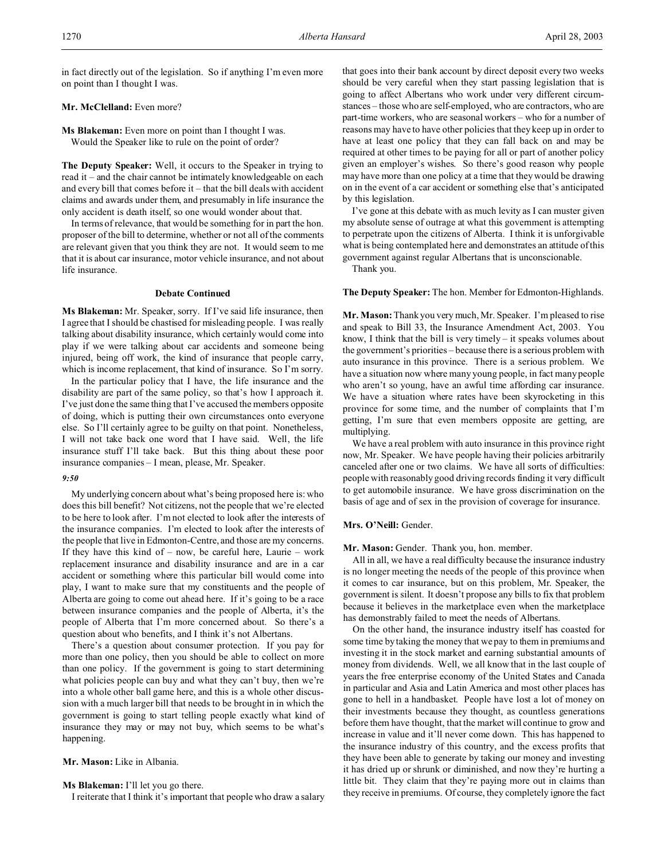in fact directly out of the legislation. So if anything I'm even more on point than I thought I was.

# **Mr. McClelland:** Even more?

**Ms Blakeman:** Even more on point than I thought I was. Would the Speaker like to rule on the point of order?

**The Deputy Speaker:** Well, it occurs to the Speaker in trying to read it – and the chair cannot be intimately knowledgeable on each and every bill that comes before it – that the bill deals with accident claims and awards under them, and presumably in life insurance the only accident is death itself, so one would wonder about that.

In terms of relevance, that would be something for in part the hon. proposer of the bill to determine, whether or not all of the comments are relevant given that you think they are not. It would seem to me that it is about car insurance, motor vehicle insurance, and not about life insurance.

## **Debate Continued**

**Ms Blakeman:** Mr. Speaker, sorry. If I've said life insurance, then I agree that I should be chastised for misleading people. I was really talking about disability insurance, which certainly would come into play if we were talking about car accidents and someone being injured, being off work, the kind of insurance that people carry, which is income replacement, that kind of insurance. So I'm sorry.

In the particular policy that I have, the life insurance and the disability are part of the same policy, so that's how I approach it. I've just done the same thing that I've accused the members opposite of doing, which is putting their own circumstances onto everyone else. So I'll certainly agree to be guilty on that point. Nonetheless, I will not take back one word that I have said. Well, the life insurance stuff I'll take back. But this thing about these poor insurance companies – I mean, please, Mr. Speaker.

### *9:50*

My underlying concern about what's being proposed here is: who does this bill benefit? Not citizens, not the people that we're elected to be here to look after. I'm not elected to look after the interests of the insurance companies. I'm elected to look after the interests of the people that live in Edmonton-Centre, and those are my concerns. If they have this kind of  $-$  now, be careful here, Laurie  $-$  work replacement insurance and disability insurance and are in a car accident or something where this particular bill would come into play, I want to make sure that my constituents and the people of Alberta are going to come out ahead here. If it's going to be a race between insurance companies and the people of Alberta, it's the people of Alberta that I'm more concerned about. So there's a question about who benefits, and I think it's not Albertans.

There's a question about consumer protection. If you pay for more than one policy, then you should be able to collect on more than one policy. If the government is going to start determining what policies people can buy and what they can't buy, then we're into a whole other ball game here, and this is a whole other discussion with a much larger bill that needs to be brought in in which the government is going to start telling people exactly what kind of insurance they may or may not buy, which seems to be what's happening.

### **Mr. Mason:** Like in Albania.

**Ms Blakeman:** I'll let you go there.

I reiterate that I think it's important that people who draw a salary

that goes into their bank account by direct deposit every two weeks should be very careful when they start passing legislation that is going to affect Albertans who work under very different circumstances – those who are self-employed, who are contractors, who are part-time workers, who are seasonal workers – who for a number of reasons may have to have other policies that they keep up in order to have at least one policy that they can fall back on and may be required at other times to be paying for all or part of another policy given an employer's wishes. So there's good reason why people may have more than one policy at a time that they would be drawing on in the event of a car accident or something else that's anticipated by this legislation.

I've gone at this debate with as much levity as I can muster given my absolute sense of outrage at what this government is attempting to perpetrate upon the citizens of Alberta. I think it is unforgivable what is being contemplated here and demonstrates an attitude of this government against regular Albertans that is unconscionable.

Thank you.

#### **The Deputy Speaker:** The hon. Member for Edmonton-Highlands.

**Mr. Mason:** Thank you very much, Mr. Speaker. I'm pleased to rise and speak to Bill 33, the Insurance Amendment Act, 2003. You know, I think that the bill is very timely – it speaks volumes about the government's priorities – because there is a serious problem with auto insurance in this province. There is a serious problem. We have a situation now where many young people, in fact many people who aren't so young, have an awful time affording car insurance. We have a situation where rates have been skyrocketing in this province for some time, and the number of complaints that I'm getting, I'm sure that even members opposite are getting, are multiplying.

We have a real problem with auto insurance in this province right now, Mr. Speaker. We have people having their policies arbitrarily canceled after one or two claims. We have all sorts of difficulties: people with reasonably good driving records finding it very difficult to get automobile insurance. We have gross discrimination on the basis of age and of sex in the provision of coverage for insurance.

### **Mrs. O'Neill:** Gender.

**Mr. Mason:** Gender. Thank you, hon. member.

All in all, we have a real difficulty because the insurance industry is no longer meeting the needs of the people of this province when it comes to car insurance, but on this problem, Mr. Speaker, the government is silent. It doesn't propose any bills to fix that problem because it believes in the marketplace even when the marketplace has demonstrably failed to meet the needs of Albertans.

On the other hand, the insurance industry itself has coasted for some time by taking the money that we pay to them in premiums and investing it in the stock market and earning substantial amounts of money from dividends. Well, we all know that in the last couple of years the free enterprise economy of the United States and Canada in particular and Asia and Latin America and most other places has gone to hell in a handbasket. People have lost a lot of money on their investments because they thought, as countless generations before them have thought, that the market will continue to grow and increase in value and it'll never come down. This has happened to the insurance industry of this country, and the excess profits that they have been able to generate by taking our money and investing it has dried up or shrunk or diminished, and now they're hurting a little bit. They claim that they're paying more out in claims than they receive in premiums. Of course, they completely ignore the fact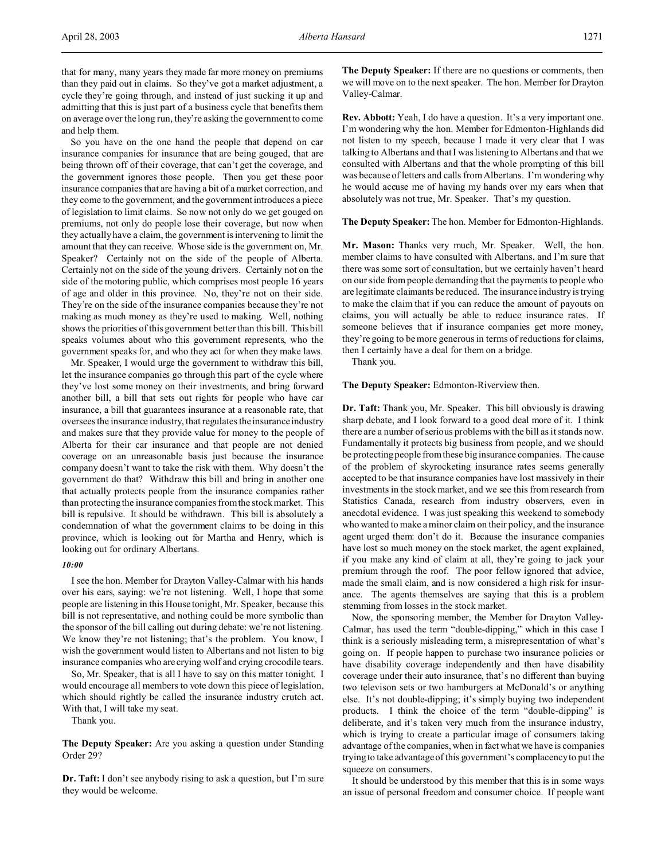that for many, many years they made far more money on premiums than they paid out in claims. So they've got a market adjustment, a cycle they're going through, and instead of just sucking it up and admitting that this is just part of a business cycle that benefits them on average over the long run, they're asking the government to come and help them.

So you have on the one hand the people that depend on car insurance companies for insurance that are being gouged, that are being thrown off of their coverage, that can't get the coverage, and the government ignores those people. Then you get these poor insurance companies that are having a bit of a market correction, and they come to the government, and the government introduces a piece of legislation to limit claims. So now not only do we get gouged on premiums, not only do people lose their coverage, but now when they actually have a claim, the government is intervening to limit the amount that they can receive. Whose side is the government on, Mr. Speaker? Certainly not on the side of the people of Alberta. Certainly not on the side of the young drivers. Certainly not on the side of the motoring public, which comprises most people 16 years of age and older in this province. No, they're not on their side. They're on the side of the insurance companies because they're not making as much money as they're used to making. Well, nothing shows the priorities of this government better than this bill. This bill speaks volumes about who this government represents, who the government speaks for, and who they act for when they make laws.

Mr. Speaker, I would urge the government to withdraw this bill, let the insurance companies go through this part of the cycle where they've lost some money on their investments, and bring forward another bill, a bill that sets out rights for people who have car insurance, a bill that guarantees insurance at a reasonable rate, that oversees the insurance industry, that regulates the insurance industry and makes sure that they provide value for money to the people of Alberta for their car insurance and that people are not denied coverage on an unreasonable basis just because the insurance company doesn't want to take the risk with them. Why doesn't the government do that? Withdraw this bill and bring in another one that actually protects people from the insurance companies rather than protecting the insurance companies from the stock market. This bill is repulsive. It should be withdrawn. This bill is absolutely a condemnation of what the government claims to be doing in this province, which is looking out for Martha and Henry, which is looking out for ordinary Albertans.

## *10:00*

I see the hon. Member for Drayton Valley-Calmar with his hands over his ears, saying: we're not listening. Well, I hope that some people are listening in this House tonight, Mr. Speaker, because this bill is not representative, and nothing could be more symbolic than the sponsor of the bill calling out during debate: we're not listening. We know they're not listening; that's the problem. You know, I wish the government would listen to Albertans and not listen to big insurance companies who are crying wolf and crying crocodile tears.

So, Mr. Speaker, that is all I have to say on this matter tonight. I would encourage all members to vote down this piece of legislation, which should rightly be called the insurance industry crutch act. With that, I will take my seat.

Thank you.

**The Deputy Speaker:** Are you asking a question under Standing Order 29?

**Dr. Taft:** I don't see anybody rising to ask a question, but I'm sure they would be welcome.

**The Deputy Speaker:** If there are no questions or comments, then we will move on to the next speaker. The hon. Member for Drayton Valley-Calmar.

**Rev. Abbott:** Yeah, I do have a question. It's a very important one. I'm wondering why the hon. Member for Edmonton-Highlands did not listen to my speech, because I made it very clear that I was talking to Albertans and that I was listening to Albertans and that we consulted with Albertans and that the whole prompting of this bill was because of letters and calls from Albertans. I'm wondering why he would accuse me of having my hands over my ears when that absolutely was not true, Mr. Speaker. That's my question.

**The Deputy Speaker:** The hon. Member for Edmonton-Highlands.

**Mr. Mason:** Thanks very much, Mr. Speaker. Well, the hon. member claims to have consulted with Albertans, and I'm sure that there was some sort of consultation, but we certainly haven't heard on our side from people demanding that the payments to people who are legitimate claimants be reduced. The insurance industry is trying to make the claim that if you can reduce the amount of payouts on claims, you will actually be able to reduce insurance rates. If someone believes that if insurance companies get more money, they're going to be more generous in terms of reductions for claims, then I certainly have a deal for them on a bridge.

Thank you.

**The Deputy Speaker:** Edmonton-Riverview then.

**Dr. Taft:** Thank you, Mr. Speaker. This bill obviously is drawing sharp debate, and I look forward to a good deal more of it. I think there are a number of serious problems with the bill as it stands now. Fundamentally it protects big business from people, and we should be protecting people from these big insurance companies. The cause of the problem of skyrocketing insurance rates seems generally accepted to be that insurance companies have lost massively in their investments in the stock market, and we see this from research from Statistics Canada, research from industry observers, even in anecdotal evidence. I was just speaking this weekend to somebody who wanted to make a minor claim on their policy, and the insurance agent urged them: don't do it. Because the insurance companies have lost so much money on the stock market, the agent explained, if you make any kind of claim at all, they're going to jack your premium through the roof. The poor fellow ignored that advice, made the small claim, and is now considered a high risk for insurance. The agents themselves are saying that this is a problem stemming from losses in the stock market.

Now, the sponsoring member, the Member for Drayton Valley-Calmar, has used the term "double-dipping," which in this case I think is a seriously misleading term, a misrepresentation of what's going on. If people happen to purchase two insurance policies or have disability coverage independently and then have disability coverage under their auto insurance, that's no different than buying two televison sets or two hamburgers at McDonald's or anything else. It's not double-dipping; it's simply buying two independent products. I think the choice of the term "double-dipping" is deliberate, and it's taken very much from the insurance industry, which is trying to create a particular image of consumers taking advantage of the companies, when in fact what we have is companies trying to take advantage of this government's complacency to put the squeeze on consumers.

It should be understood by this member that this is in some ways an issue of personal freedom and consumer choice. If people want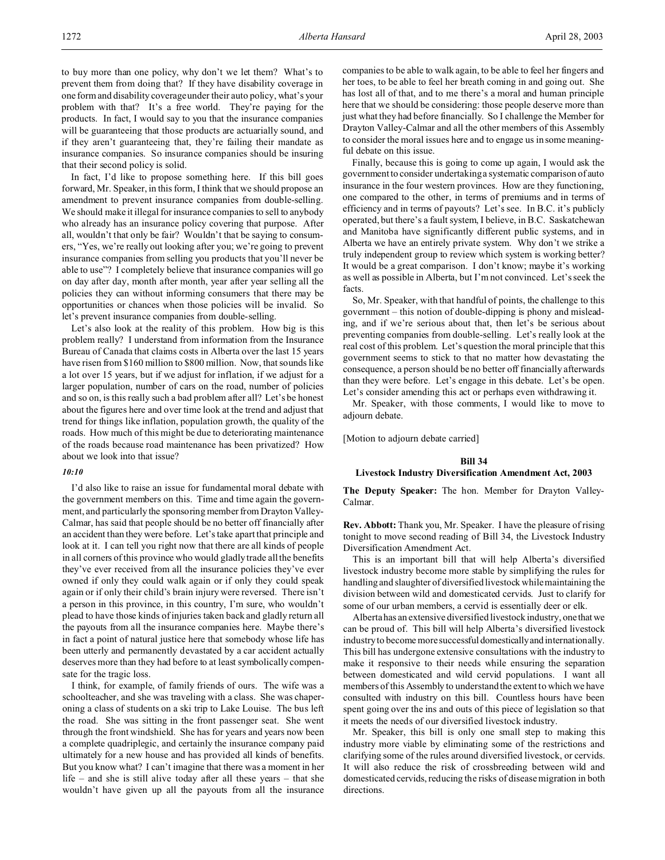to buy more than one policy, why don't we let them? What's to prevent them from doing that? If they have disability coverage in one form and disability coverage under their auto policy, what's your problem with that? It's a free world. They're paying for the products. In fact, I would say to you that the insurance companies will be guaranteeing that those products are actuarially sound, and if they aren't guaranteeing that, they're failing their mandate as insurance companies. So insurance companies should be insuring that their second policy is solid.

In fact, I'd like to propose something here. If this bill goes forward, Mr. Speaker, in this form, I think that we should propose an amendment to prevent insurance companies from double-selling. We should make it illegal for insurance companies to sell to anybody who already has an insurance policy covering that purpose. After all, wouldn't that only be fair? Wouldn't that be saying to consumers, "Yes, we're really out looking after you; we're going to prevent insurance companies from selling you products that you'll never be able to use"? I completely believe that insurance companies will go on day after day, month after month, year after year selling all the policies they can without informing consumers that there may be opportunities or chances when those policies will be invalid. So let's prevent insurance companies from double-selling.

Let's also look at the reality of this problem. How big is this problem really? I understand from information from the Insurance Bureau of Canada that claims costs in Alberta over the last 15 years have risen from \$160 million to \$800 million. Now, that sounds like a lot over 15 years, but if we adjust for inflation, if we adjust for a larger population, number of cars on the road, number of policies and so on, is this really such a bad problem after all? Let's be honest about the figures here and over time look at the trend and adjust that trend for things like inflation, population growth, the quality of the roads. How much of this might be due to deteriorating maintenance of the roads because road maintenance has been privatized? How about we look into that issue?

#### *10:10*

I'd also like to raise an issue for fundamental moral debate with the government members on this. Time and time again the government, and particularly the sponsoring member from Drayton Valley-Calmar, has said that people should be no better off financially after an accident than they were before. Let's take apart that principle and look at it. I can tell you right now that there are all kinds of people in all corners of this province who would gladly trade all the benefits they've ever received from all the insurance policies they've ever owned if only they could walk again or if only they could speak again or if only their child's brain injury were reversed. There isn't a person in this province, in this country, I'm sure, who wouldn't plead to have those kinds of injuries taken back and gladly return all the payouts from all the insurance companies here. Maybe there's in fact a point of natural justice here that somebody whose life has been utterly and permanently devastated by a car accident actually deserves more than they had before to at least symbolically compensate for the tragic loss.

I think, for example, of family friends of ours. The wife was a schoolteacher, and she was traveling with a class. She was chaperoning a class of students on a ski trip to Lake Louise. The bus left the road. She was sitting in the front passenger seat. She went through the front windshield. She has for years and years now been a complete quadriplegic, and certainly the insurance company paid ultimately for a new house and has provided all kinds of benefits. But you know what? I can't imagine that there was a moment in her life – and she is still alive today after all these years – that she wouldn't have given up all the payouts from all the insurance

companies to be able to walk again, to be able to feel her fingers and her toes, to be able to feel her breath coming in and going out. She has lost all of that, and to me there's a moral and human principle here that we should be considering: those people deserve more than just what they had before financially. So I challenge the Member for Drayton Valley-Calmar and all the other members of this Assembly to consider the moral issues here and to engage us in some meaningful debate on this issue.

Finally, because this is going to come up again, I would ask the government to consider undertaking a systematic comparison of auto insurance in the four western provinces. How are they functioning, one compared to the other, in terms of premiums and in terms of efficiency and in terms of payouts? Let's see. In B.C. it's publicly operated, but there's a fault system, I believe, in B.C. Saskatchewan and Manitoba have significantly different public systems, and in Alberta we have an entirely private system. Why don't we strike a truly independent group to review which system is working better? It would be a great comparison. I don't know; maybe it's working as well as possible in Alberta, but I'm not convinced. Let's seek the facts.

So, Mr. Speaker, with that handful of points, the challenge to this government – this notion of double-dipping is phony and misleading, and if we're serious about that, then let's be serious about preventing companies from double-selling. Let's really look at the real cost of this problem. Let's question the moral principle that this government seems to stick to that no matter how devastating the consequence, a person should be no better off financially afterwards than they were before. Let's engage in this debate. Let's be open. Let's consider amending this act or perhaps even withdrawing it.

Mr. Speaker, with those comments, I would like to move to adjourn debate.

[Motion to adjourn debate carried]

#### **Bill 34**

## **Livestock Industry Diversification Amendment Act, 2003**

**The Deputy Speaker:** The hon. Member for Drayton Valley-Calmar.

**Rev. Abbott:** Thank you, Mr. Speaker. I have the pleasure of rising tonight to move second reading of Bill 34, the Livestock Industry Diversification Amendment Act.

This is an important bill that will help Alberta's diversified livestock industry become more stable by simplifying the rules for handling and slaughter of diversified livestock while maintaining the division between wild and domesticated cervids. Just to clarify for some of our urban members, a cervid is essentially deer or elk.

Alberta has an extensive diversified livestock industry, one thatwe can be proud of. This bill will help Alberta's diversified livestock industry to become more successful domesticallyand internationally. This bill has undergone extensive consultations with the industry to make it responsive to their needs while ensuring the separation between domesticated and wild cervid populations. I want all members of this Assembly to understand the extent to which we have consulted with industry on this bill. Countless hours have been spent going over the ins and outs of this piece of legislation so that it meets the needs of our diversified livestock industry.

Mr. Speaker, this bill is only one small step to making this industry more viable by eliminating some of the restrictions and clarifying some of the rules around diversified livestock, or cervids. It will also reduce the risk of crossbreeding between wild and domesticated cervids, reducing the risks of disease migration in both directions.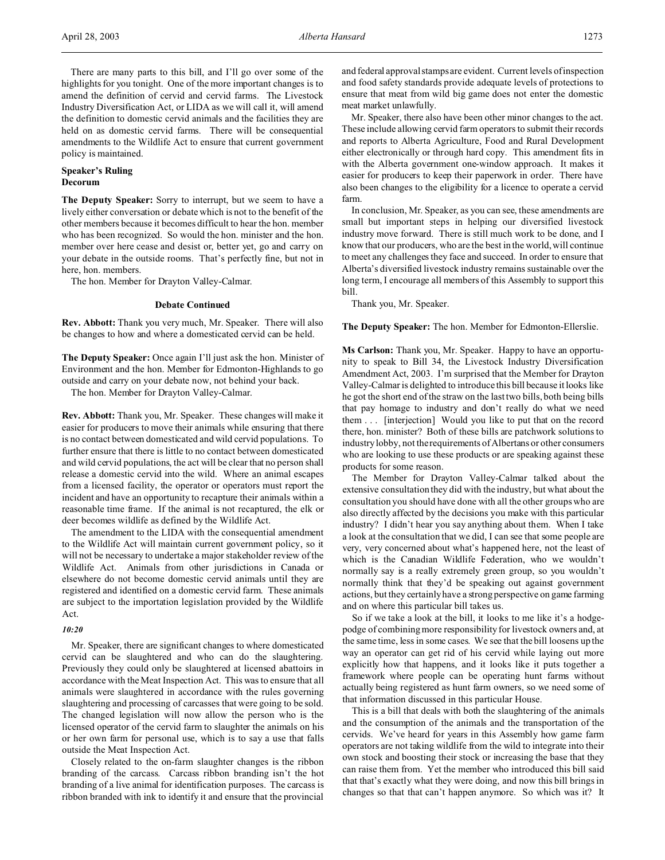There are many parts to this bill, and I'll go over some of the highlights for you tonight. One of the more important changes is to amend the definition of cervid and cervid farms. The Livestock Industry Diversification Act, or LIDA as we will call it, will amend the definition to domestic cervid animals and the facilities they are held on as domestic cervid farms. There will be consequential amendments to the Wildlife Act to ensure that current government policy is maintained.

# **Speaker's Ruling Decorum**

**The Deputy Speaker:** Sorry to interrupt, but we seem to have a lively either conversation or debate which is not to the benefit of the other members because it becomes difficult to hear the hon. member who has been recognized. So would the hon. minister and the hon. member over here cease and desist or, better yet, go and carry on your debate in the outside rooms. That's perfectly fine, but not in here, hon. members.

The hon. Member for Drayton Valley-Calmar.

## **Debate Continued**

**Rev. Abbott:** Thank you very much, Mr. Speaker. There will also be changes to how and where a domesticated cervid can be held.

**The Deputy Speaker:** Once again I'll just ask the hon. Minister of Environment and the hon. Member for Edmonton-Highlands to go outside and carry on your debate now, not behind your back.

The hon. Member for Drayton Valley-Calmar.

**Rev. Abbott:** Thank you, Mr. Speaker. These changes will make it easier for producers to move their animals while ensuring that there is no contact between domesticated and wild cervid populations. To further ensure that there is little to no contact between domesticated and wild cervid populations, the act will be clear that no person shall release a domestic cervid into the wild. Where an animal escapes from a licensed facility, the operator or operators must report the incident and have an opportunity to recapture their animals within a reasonable time frame. If the animal is not recaptured, the elk or deer becomes wildlife as defined by the Wildlife Act.

The amendment to the LIDA with the consequential amendment to the Wildlife Act will maintain current government policy, so it will not be necessary to undertake a major stakeholder review of the Wildlife Act. Animals from other jurisdictions in Canada or elsewhere do not become domestic cervid animals until they are registered and identified on a domestic cervid farm. These animals are subject to the importation legislation provided by the Wildlife Act.

### *10:20*

Mr. Speaker, there are significant changes to where domesticated cervid can be slaughtered and who can do the slaughtering. Previously they could only be slaughtered at licensed abattoirs in accordance with the Meat Inspection Act. This was to ensure that all animals were slaughtered in accordance with the rules governing slaughtering and processing of carcasses that were going to be sold. The changed legislation will now allow the person who is the licensed operator of the cervid farm to slaughter the animals on his or her own farm for personal use, which is to say a use that falls outside the Meat Inspection Act.

Closely related to the on-farm slaughter changes is the ribbon branding of the carcass. Carcass ribbon branding isn't the hot branding of a live animal for identification purposes. The carcass is ribbon branded with ink to identify it and ensure that the provincial

and federal approval stamps are evident. Current levels of inspection and food safety standards provide adequate levels of protections to ensure that meat from wild big game does not enter the domestic meat market unlawfully.

Mr. Speaker, there also have been other minor changes to the act. These include allowing cervid farm operators to submit their records and reports to Alberta Agriculture, Food and Rural Development either electronically or through hard copy. This amendment fits in with the Alberta government one-window approach. It makes it easier for producers to keep their paperwork in order. There have also been changes to the eligibility for a licence to operate a cervid farm.

In conclusion, Mr. Speaker, as you can see, these amendments are small but important steps in helping our diversified livestock industry move forward. There is still much work to be done, and I know that our producers, who are the best in the world, will continue to meet any challenges they face and succeed. In order to ensure that Alberta's diversified livestock industry remains sustainable over the long term, I encourage all members of this Assembly to support this bill.

Thank you, Mr. Speaker.

**The Deputy Speaker:** The hon. Member for Edmonton-Ellerslie.

**Ms Carlson:** Thank you, Mr. Speaker. Happy to have an opportunity to speak to Bill 34, the Livestock Industry Diversification Amendment Act, 2003. I'm surprised that the Member for Drayton Valley-Calmar is delighted to introduce this bill because it looks like he got the short end of the straw on the last two bills, both being bills that pay homage to industry and don't really do what we need them . . . [interjection] Would you like to put that on the record there, hon. minister? Both of these bills are patchwork solutions to industry lobby, not the requirements of Albertans or other consumers who are looking to use these products or are speaking against these products for some reason.

The Member for Drayton Valley-Calmar talked about the extensive consultation they did with the industry, but what about the consultation you should have done with all the other groups who are also directly affected by the decisions you make with this particular industry? I didn't hear you say anything about them. When I take a look at the consultation that we did, I can see that some people are very, very concerned about what's happened here, not the least of which is the Canadian Wildlife Federation, who we wouldn't normally say is a really extremely green group, so you wouldn't normally think that they'd be speaking out against government actions, but they certainly have a strong perspective on game farming and on where this particular bill takes us.

So if we take a look at the bill, it looks to me like it's a hodgepodge of combining more responsibility for livestock owners and, at the same time, less in some cases. We see that the bill loosens up the way an operator can get rid of his cervid while laying out more explicitly how that happens, and it looks like it puts together a framework where people can be operating hunt farms without actually being registered as hunt farm owners, so we need some of that information discussed in this particular House.

This is a bill that deals with both the slaughtering of the animals and the consumption of the animals and the transportation of the cervids. We've heard for years in this Assembly how game farm operators are not taking wildlife from the wild to integrate into their own stock and boosting their stock or increasing the base that they can raise them from. Yet the member who introduced this bill said that that's exactly what they were doing, and now this bill brings in changes so that that can't happen anymore. So which was it? It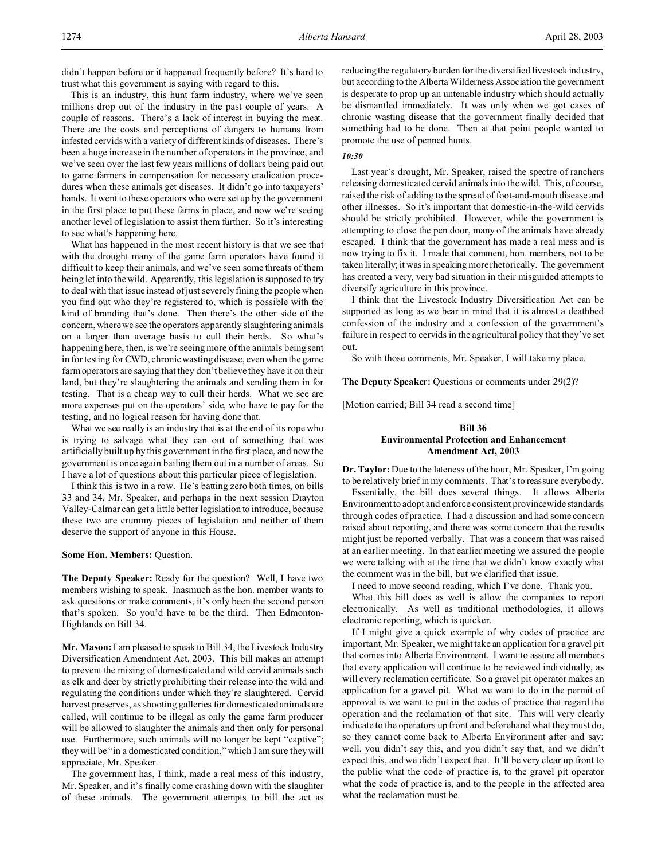didn't happen before or it happened frequently before? It's hard to trust what this government is saying with regard to this.

This is an industry, this hunt farm industry, where we've seen millions drop out of the industry in the past couple of years. A couple of reasons. There's a lack of interest in buying the meat. There are the costs and perceptions of dangers to humans from infested cervids with a variety of different kinds of diseases. There's been a huge increase in the number of operators in the province, and we've seen over the last few years millions of dollars being paid out to game farmers in compensation for necessary eradication procedures when these animals get diseases. It didn't go into taxpayers' hands. It went to these operators who were set up by the government in the first place to put these farms in place, and now we're seeing another level of legislation to assist them further. So it's interesting to see what's happening here.

What has happened in the most recent history is that we see that with the drought many of the game farm operators have found it difficult to keep their animals, and we've seen some threats of them being let into the wild. Apparently, this legislation is supposed to try to deal with that issue instead of just severely fining the people when you find out who they're registered to, which is possible with the kind of branding that's done. Then there's the other side of the concern, where we see the operators apparently slaughtering animals on a larger than average basis to cull their herds. So what's happening here, then, is we're seeing more of the animals being sent in for testing for CWD, chronic wasting disease, even when the game farm operators are saying that they don't believe they have it on their land, but they're slaughtering the animals and sending them in for testing. That is a cheap way to cull their herds. What we see are more expenses put on the operators' side, who have to pay for the testing, and no logical reason for having done that.

What we see really is an industry that is at the end of its rope who is trying to salvage what they can out of something that was artificially built up by this government in the first place, and now the government is once again bailing them out in a number of areas. So I have a lot of questions about this particular piece of legislation.

I think this is two in a row. He's batting zero both times, on bills 33 and 34, Mr. Speaker, and perhaps in the next session Drayton Valley-Calmar can get a little better legislation to introduce, because these two are crummy pieces of legislation and neither of them deserve the support of anyone in this House.

#### **Some Hon. Members:** Question.

**The Deputy Speaker:** Ready for the question? Well, I have two members wishing to speak. Inasmuch as the hon. member wants to ask questions or make comments, it's only been the second person that's spoken. So you'd have to be the third. Then Edmonton-Highlands on Bill 34.

**Mr. Mason:** I am pleased to speak to Bill 34, the Livestock Industry Diversification Amendment Act, 2003. This bill makes an attempt to prevent the mixing of domesticated and wild cervid animals such as elk and deer by strictly prohibiting their release into the wild and regulating the conditions under which they're slaughtered. Cervid harvest preserves, as shooting galleries for domesticated animals are called, will continue to be illegal as only the game farm producer will be allowed to slaughter the animals and then only for personal use. Furthermore, such animals will no longer be kept "captive"; they will be "in a domesticated condition," which I am sure they will appreciate, Mr. Speaker.

The government has, I think, made a real mess of this industry, Mr. Speaker, and it's finally come crashing down with the slaughter of these animals. The government attempts to bill the act as

reducing the regulatory burden for the diversified livestock industry, but according to the Alberta Wilderness Association the government is desperate to prop up an untenable industry which should actually be dismantled immediately. It was only when we got cases of chronic wasting disease that the government finally decided that something had to be done. Then at that point people wanted to promote the use of penned hunts.

# *10:30*

Last year's drought, Mr. Speaker, raised the spectre of ranchers releasing domesticated cervid animals into the wild. This, of course, raised the risk of adding to the spread of foot-and-mouth disease and other illnesses. So it's important that domestic-in-the-wild cervids should be strictly prohibited. However, while the government is attempting to close the pen door, many of the animals have already escaped. I think that the government has made a real mess and is now trying to fix it. I made that comment, hon. members, not to be taken literally; it was in speaking more rhetorically. The government has created a very, very bad situation in their misguided attempts to diversify agriculture in this province.

I think that the Livestock Industry Diversification Act can be supported as long as we bear in mind that it is almost a deathbed confession of the industry and a confession of the government's failure in respect to cervids in the agricultural policy that they've set out.

So with those comments, Mr. Speaker, I will take my place.

The Deputy Speaker: Questions or comments under 29(2)?

[Motion carried; Bill 34 read a second time]

# **Bill 36 Environmental Protection and Enhancement Amendment Act, 2003**

**Dr. Taylor:** Due to the lateness of the hour, Mr. Speaker, I'm going to be relatively brief in my comments. That's to reassure everybody.

Essentially, the bill does several things. It allows Alberta Environment to adopt and enforce consistent provincewide standards through codes of practice. I had a discussion and had some concern raised about reporting, and there was some concern that the results might just be reported verbally. That was a concern that was raised at an earlier meeting. In that earlier meeting we assured the people we were talking with at the time that we didn't know exactly what the comment was in the bill, but we clarified that issue.

I need to move second reading, which I've done. Thank you.

What this bill does as well is allow the companies to report electronically. As well as traditional methodologies, it allows electronic reporting, which is quicker.

If I might give a quick example of why codes of practice are important, Mr. Speaker, we might take an application for a gravel pit that comes into Alberta Environment. I want to assure all members that every application will continue to be reviewed individually, as will every reclamation certificate. So a gravel pit operator makes an application for a gravel pit. What we want to do in the permit of approval is we want to put in the codes of practice that regard the operation and the reclamation of that site. This will very clearly indicate to the operators up front and beforehand what they must do, so they cannot come back to Alberta Environment after and say: well, you didn't say this, and you didn't say that, and we didn't expect this, and we didn't expect that. It'll be very clear up front to the public what the code of practice is, to the gravel pit operator what the code of practice is, and to the people in the affected area what the reclamation must be.